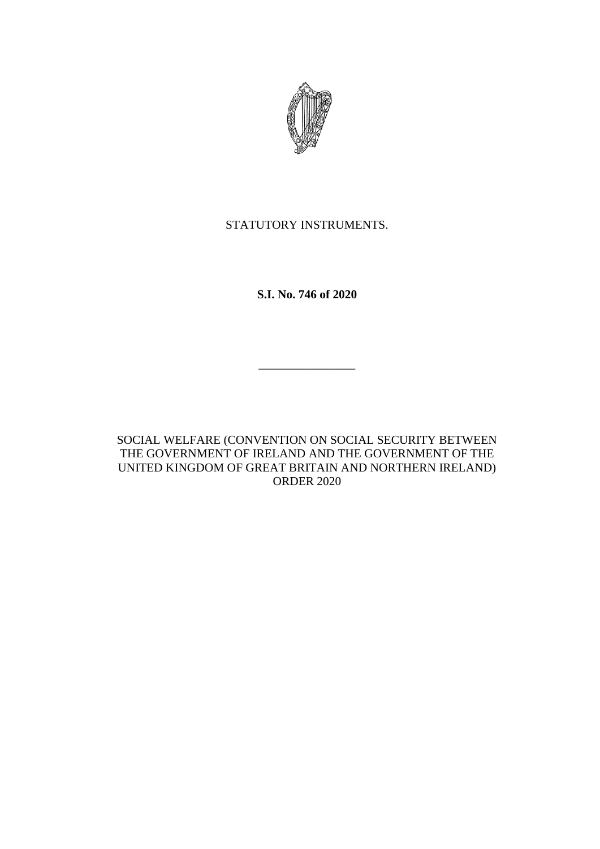

STATUTORY INSTRUMENTS.

**S.I. No. 746 of 2020**

\_\_\_\_\_\_\_\_\_\_\_\_\_\_\_\_

SOCIAL WELFARE (CONVENTION ON SOCIAL SECURITY BETWEEN THE GOVERNMENT OF IRELAND AND THE GOVERNMENT OF THE UNITED KINGDOM OF GREAT BRITAIN AND NORTHERN IRELAND) ORDER 2020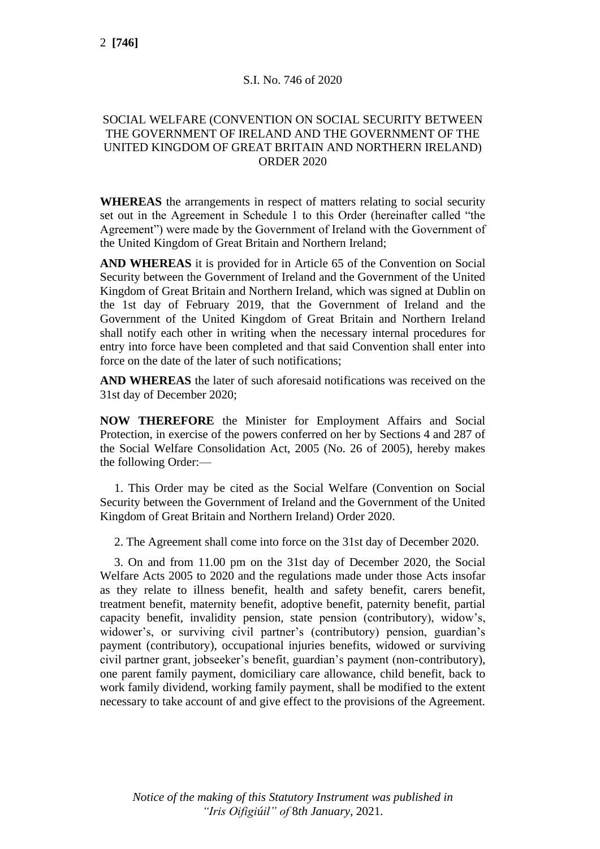# S.I. No. 746 of 2020

# SOCIAL WELFARE (CONVENTION ON SOCIAL SECURITY BETWEEN THE GOVERNMENT OF IRELAND AND THE GOVERNMENT OF THE UNITED KINGDOM OF GREAT BRITAIN AND NORTHERN IRELAND) ORDER 2020

**WHEREAS** the arrangements in respect of matters relating to social security set out in the Agreement in Schedule 1 to this Order (hereinafter called "the Agreement") were made by the Government of Ireland with the Government of the United Kingdom of Great Britain and Northern Ireland;

**AND WHEREAS** it is provided for in Article 65 of the Convention on Social Security between the Government of Ireland and the Government of the United Kingdom of Great Britain and Northern Ireland, which was signed at Dublin on the 1st day of February 2019, that the Government of Ireland and the Government of the United Kingdom of Great Britain and Northern Ireland shall notify each other in writing when the necessary internal procedures for entry into force have been completed and that said Convention shall enter into force on the date of the later of such notifications:

**AND WHEREAS** the later of such aforesaid notifications was received on the 31st day of December 2020;

**NOW THEREFORE** the Minister for Employment Affairs and Social Protection, in exercise of the powers conferred on her by Sections 4 and 287 of the Social Welfare Consolidation Act, 2005 (No. 26 of 2005), hereby makes the following Order:—

1. This Order may be cited as the Social Welfare (Convention on Social Security between the Government of Ireland and the Government of the United Kingdom of Great Britain and Northern Ireland) Order 2020.

2. The Agreement shall come into force on the 31st day of December 2020.

3. On and from 11.00 pm on the 31st day of December 2020, the Social Welfare Acts 2005 to 2020 and the regulations made under those Acts insofar as they relate to illness benefit, health and safety benefit, carers benefit, treatment benefit, maternity benefit, adoptive benefit, paternity benefit, partial capacity benefit, invalidity pension, state pension (contributory), widow's, widower's, or surviving civil partner's (contributory) pension, guardian's payment (contributory), occupational injuries benefits, widowed or surviving civil partner grant, jobseeker's benefit, guardian's payment (non-contributory), one parent family payment, domiciliary care allowance, child benefit, back to work family dividend, working family payment, shall be modified to the extent necessary to take account of and give effect to the provisions of the Agreement.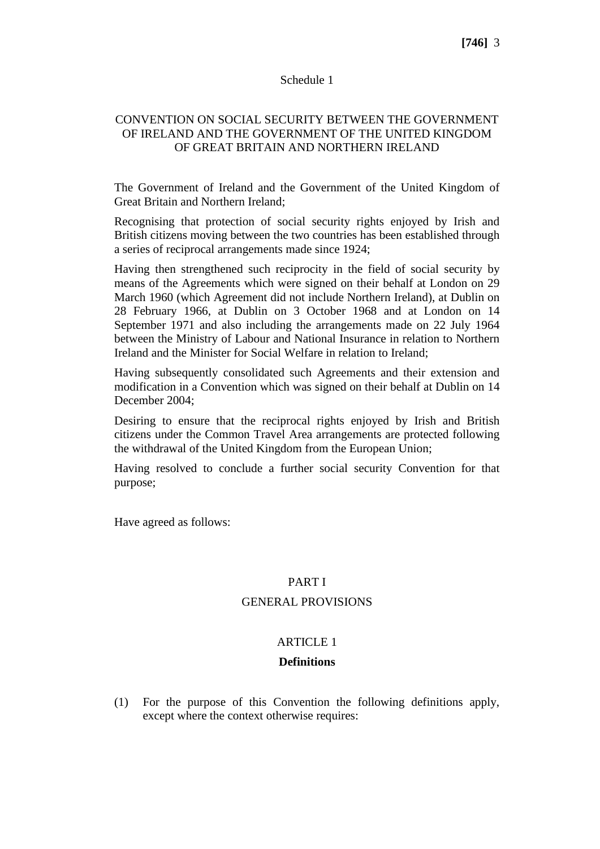#### Schedule 1

# CONVENTION ON SOCIAL SECURITY BETWEEN THE GOVERNMENT OF IRELAND AND THE GOVERNMENT OF THE UNITED KINGDOM OF GREAT BRITAIN AND NORTHERN IRELAND

The Government of Ireland and the Government of the United Kingdom of Great Britain and Northern Ireland;

Recognising that protection of social security rights enjoyed by Irish and British citizens moving between the two countries has been established through a series of reciprocal arrangements made since 1924;

Having then strengthened such reciprocity in the field of social security by means of the Agreements which were signed on their behalf at London on 29 March 1960 (which Agreement did not include Northern Ireland), at Dublin on 28 February 1966, at Dublin on 3 October 1968 and at London on 14 September 1971 and also including the arrangements made on 22 July 1964 between the Ministry of Labour and National Insurance in relation to Northern Ireland and the Minister for Social Welfare in relation to Ireland;

Having subsequently consolidated such Agreements and their extension and modification in a Convention which was signed on their behalf at Dublin on 14 December 2004;

Desiring to ensure that the reciprocal rights enjoyed by Irish and British citizens under the Common Travel Area arrangements are protected following the withdrawal of the United Kingdom from the European Union;

Having resolved to conclude a further social security Convention for that purpose;

Have agreed as follows:

#### PART I

#### GENERAL PROVISIONS

#### ARTICLE 1

#### **Definitions**

(1) For the purpose of this Convention the following definitions apply, except where the context otherwise requires: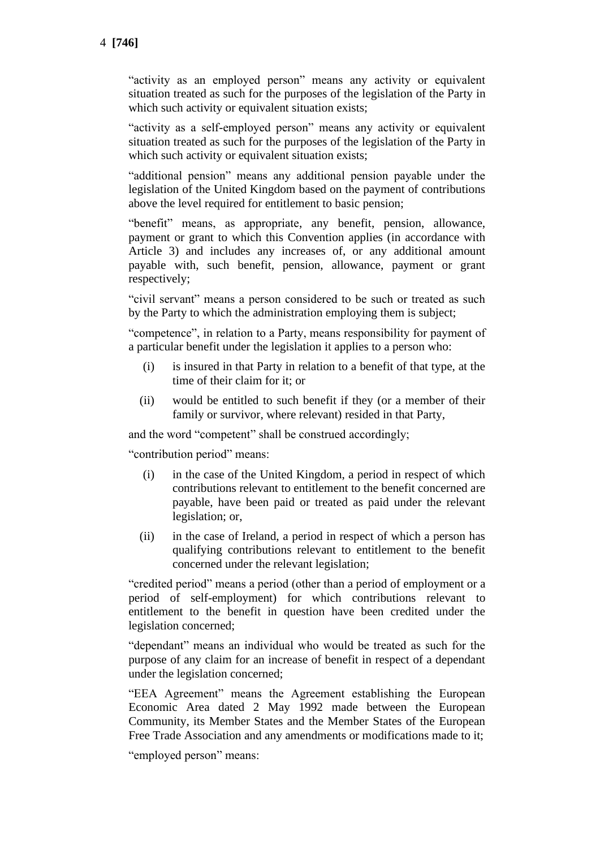"activity as an employed person" means any activity or equivalent situation treated as such for the purposes of the legislation of the Party in which such activity or equivalent situation exists;

"activity as a self-employed person" means any activity or equivalent situation treated as such for the purposes of the legislation of the Party in which such activity or equivalent situation exists;

"additional pension" means any additional pension payable under the legislation of the United Kingdom based on the payment of contributions above the level required for entitlement to basic pension;

"benefit" means, as appropriate, any benefit, pension, allowance, payment or grant to which this Convention applies (in accordance with Article 3) and includes any increases of, or any additional amount payable with, such benefit, pension, allowance, payment or grant respectively;

"civil servant" means a person considered to be such or treated as such by the Party to which the administration employing them is subject;

"competence", in relation to a Party, means responsibility for payment of a particular benefit under the legislation it applies to a person who:

- (i) is insured in that Party in relation to a benefit of that type, at the time of their claim for it; or
- (ii) would be entitled to such benefit if they (or a member of their family or survivor, where relevant) resided in that Party,

and the word "competent" shall be construed accordingly;

"contribution period" means:

- (i) in the case of the United Kingdom, a period in respect of which contributions relevant to entitlement to the benefit concerned are payable, have been paid or treated as paid under the relevant legislation; or,
- (ii) in the case of Ireland, a period in respect of which a person has qualifying contributions relevant to entitlement to the benefit concerned under the relevant legislation;

"credited period" means a period (other than a period of employment or a period of self-employment) for which contributions relevant to entitlement to the benefit in question have been credited under the legislation concerned;

"dependant" means an individual who would be treated as such for the purpose of any claim for an increase of benefit in respect of a dependant under the legislation concerned;

"EEA Agreement" means the Agreement establishing the European Economic Area dated 2 May 1992 made between the European Community, its Member States and the Member States of the European Free Trade Association and any amendments or modifications made to it;

"employed person" means: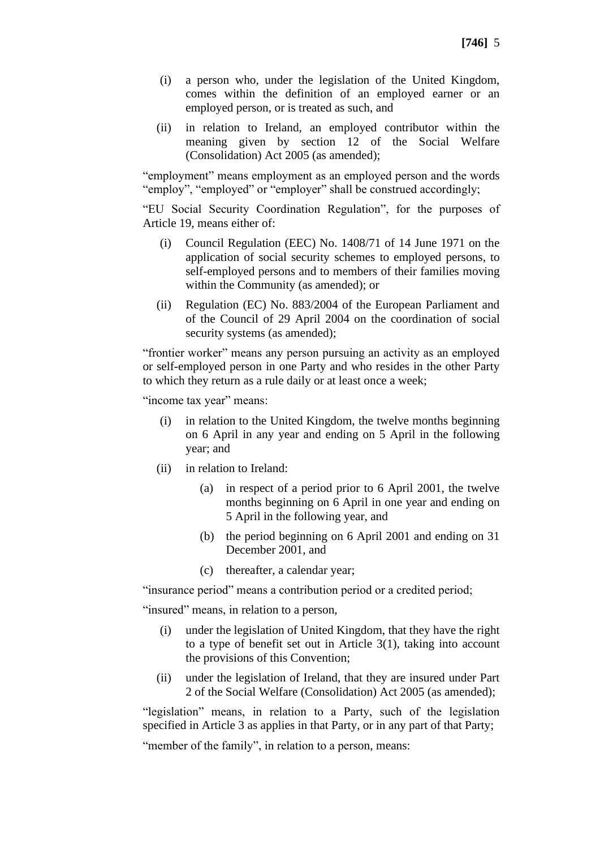- (i) a person who, under the legislation of the United Kingdom, comes within the definition of an employed earner or an employed person, or is treated as such, and
- (ii) in relation to Ireland, an employed contributor within the meaning given by section 12 of the Social Welfare (Consolidation) Act 2005 (as amended);

"employment" means employment as an employed person and the words "employ", "employed" or "employer" shall be construed accordingly;

"EU Social Security Coordination Regulation", for the purposes of Article 19, means either of:

- (i) Council Regulation (EEC) No. 1408/71 of 14 June 1971 on the application of social security schemes to employed persons, to self-employed persons and to members of their families moving within the Community (as amended); or
- (ii) Regulation (EC) No. 883/2004 of the European Parliament and of the Council of 29 April 2004 on the coordination of social security systems (as amended);

"frontier worker" means any person pursuing an activity as an employed or self-employed person in one Party and who resides in the other Party to which they return as a rule daily or at least once a week;

"income tax year" means:

- (i) in relation to the United Kingdom, the twelve months beginning on 6 April in any year and ending on 5 April in the following year; and
- (ii) in relation to Ireland:
	- (a) in respect of a period prior to 6 April 2001, the twelve months beginning on 6 April in one year and ending on 5 April in the following year, and
	- (b) the period beginning on 6 April 2001 and ending on 31 December 2001, and
	- (c) thereafter, a calendar year;

"insurance period" means a contribution period or a credited period;

"insured" means, in relation to a person,

- (i) under the legislation of United Kingdom, that they have the right to a type of benefit set out in Article 3(1), taking into account the provisions of this Convention;
- (ii) under the legislation of Ireland, that they are insured under Part 2 of the Social Welfare (Consolidation) Act 2005 (as amended);

"legislation" means, in relation to a Party, such of the legislation specified in Article 3 as applies in that Party, or in any part of that Party;

"member of the family", in relation to a person, means: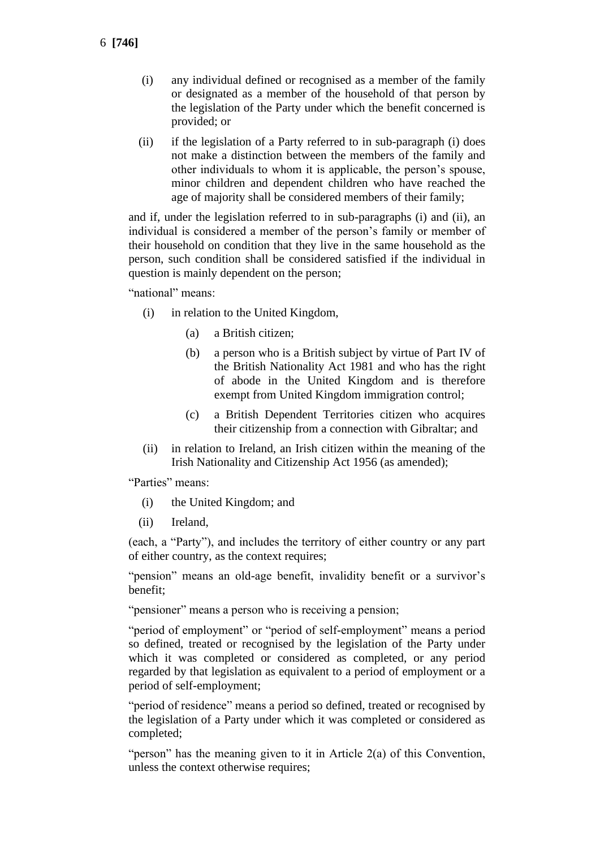- (i) any individual defined or recognised as a member of the family or designated as a member of the household of that person by the legislation of the Party under which the benefit concerned is provided; or
- (ii) if the legislation of a Party referred to in sub-paragraph (i) does not make a distinction between the members of the family and other individuals to whom it is applicable, the person's spouse, minor children and dependent children who have reached the age of majority shall be considered members of their family;

and if, under the legislation referred to in sub-paragraphs (i) and (ii), an individual is considered a member of the person's family or member of their household on condition that they live in the same household as the person, such condition shall be considered satisfied if the individual in question is mainly dependent on the person;

"national" means:

- (i) in relation to the United Kingdom,
	- (a) a British citizen;
	- (b) a person who is a British subject by virtue of Part IV of the British Nationality Act 1981 and who has the right of abode in the United Kingdom and is therefore exempt from United Kingdom immigration control;
	- (c) a British Dependent Territories citizen who acquires their citizenship from a connection with Gibraltar; and
- (ii) in relation to Ireland, an Irish citizen within the meaning of the Irish Nationality and Citizenship Act 1956 (as amended);

"Parties" means:

- (i) the United Kingdom; and
- (ii) Ireland,

(each, a "Party"), and includes the territory of either country or any part of either country, as the context requires;

"pension" means an old-age benefit, invalidity benefit or a survivor's benefit;

"pensioner" means a person who is receiving a pension;

"period of employment" or "period of self-employment" means a period so defined, treated or recognised by the legislation of the Party under which it was completed or considered as completed, or any period regarded by that legislation as equivalent to a period of employment or a period of self-employment;

"period of residence" means a period so defined, treated or recognised by the legislation of a Party under which it was completed or considered as completed;

"person" has the meaning given to it in Article 2(a) of this Convention, unless the context otherwise requires;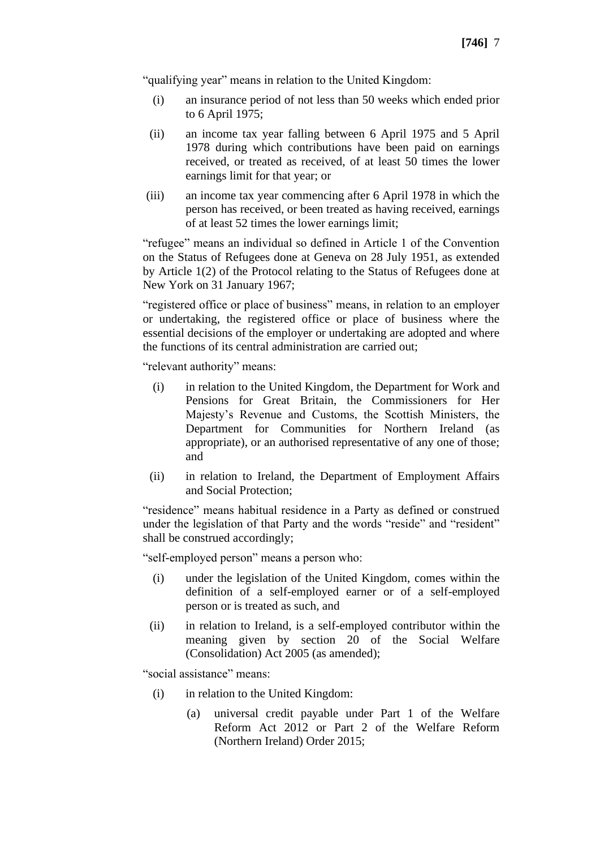"qualifying year" means in relation to the United Kingdom:

- (i) an insurance period of not less than 50 weeks which ended prior to 6 April 1975;
- (ii) an income tax year falling between 6 April 1975 and 5 April 1978 during which contributions have been paid on earnings received, or treated as received, of at least 50 times the lower earnings limit for that year; or
- (iii) an income tax year commencing after 6 April 1978 in which the person has received, or been treated as having received, earnings of at least 52 times the lower earnings limit;

"refugee" means an individual so defined in Article 1 of the Convention on the Status of Refugees done at Geneva on 28 July 1951, as extended by Article 1(2) of the Protocol relating to the Status of Refugees done at New York on 31 January 1967;

"registered office or place of business" means, in relation to an employer or undertaking, the registered office or place of business where the essential decisions of the employer or undertaking are adopted and where the functions of its central administration are carried out;

"relevant authority" means:

- (i) in relation to the United Kingdom, the Department for Work and Pensions for Great Britain, the Commissioners for Her Majesty's Revenue and Customs, the Scottish Ministers, the Department for Communities for Northern Ireland (as appropriate), or an authorised representative of any one of those; and
- (ii) in relation to Ireland, the Department of Employment Affairs and Social Protection;

"residence" means habitual residence in a Party as defined or construed under the legislation of that Party and the words "reside" and "resident" shall be construed accordingly;

"self-employed person" means a person who:

- (i) under the legislation of the United Kingdom, comes within the definition of a self-employed earner or of a self-employed person or is treated as such, and
- (ii) in relation to Ireland, is a self-employed contributor within the meaning given by section 20 of the Social Welfare (Consolidation) Act 2005 (as amended);

"social assistance" means:

- (i) in relation to the United Kingdom:
	- (a) universal credit payable under Part 1 of the Welfare Reform Act 2012 or Part 2 of the Welfare Reform (Northern Ireland) Order 2015;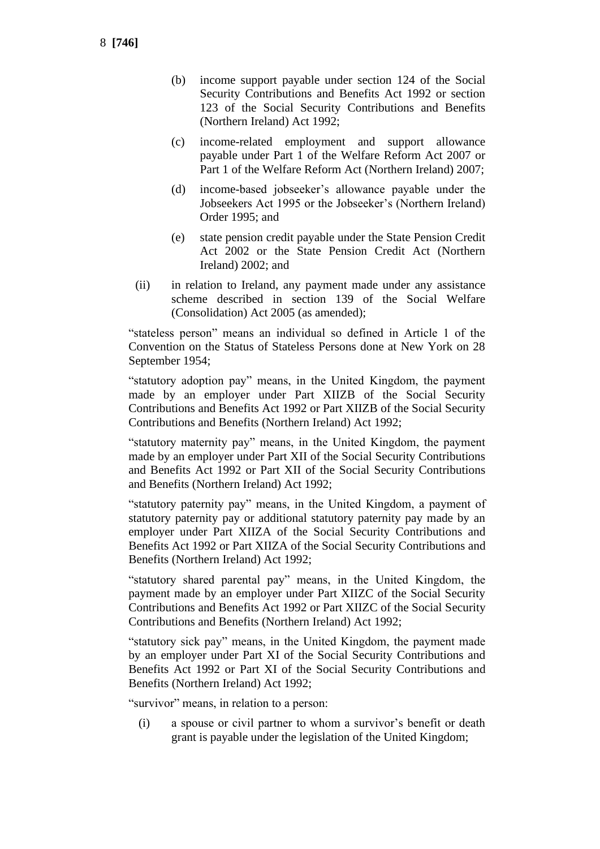- (b) income support payable under section 124 of the Social Security Contributions and Benefits Act 1992 or section 123 of the Social Security Contributions and Benefits (Northern Ireland) Act 1992;
- (c) income-related employment and support allowance payable under Part 1 of the Welfare Reform Act 2007 or Part 1 of the Welfare Reform Act (Northern Ireland) 2007;
- (d) income-based jobseeker's allowance payable under the Jobseekers Act 1995 or the Jobseeker's (Northern Ireland) Order 1995; and
- (e) state pension credit payable under the State Pension Credit Act 2002 or the State Pension Credit Act (Northern Ireland) 2002; and
- (ii) in relation to Ireland, any payment made under any assistance scheme described in section 139 of the Social Welfare (Consolidation) Act 2005 (as amended);

"stateless person" means an individual so defined in Article 1 of the Convention on the Status of Stateless Persons done at New York on 28 September 1954;

"statutory adoption pay" means, in the United Kingdom, the payment made by an employer under Part XIIZB of the Social Security Contributions and Benefits Act 1992 or Part XIIZB of the Social Security Contributions and Benefits (Northern Ireland) Act 1992;

"statutory maternity pay" means, in the United Kingdom, the payment made by an employer under Part XII of the Social Security Contributions and Benefits Act 1992 or Part XII of the Social Security Contributions and Benefits (Northern Ireland) Act 1992;

"statutory paternity pay" means, in the United Kingdom, a payment of statutory paternity pay or additional statutory paternity pay made by an employer under Part XIIZA of the Social Security Contributions and Benefits Act 1992 or Part XIIZA of the Social Security Contributions and Benefits (Northern Ireland) Act 1992;

"statutory shared parental pay" means, in the United Kingdom, the payment made by an employer under Part XIIZC of the Social Security Contributions and Benefits Act 1992 or Part XIIZC of the Social Security Contributions and Benefits (Northern Ireland) Act 1992;

"statutory sick pay" means, in the United Kingdom, the payment made by an employer under Part XI of the Social Security Contributions and Benefits Act 1992 or Part XI of the Social Security Contributions and Benefits (Northern Ireland) Act 1992;

"survivor" means, in relation to a person:

(i) a spouse or civil partner to whom a survivor's benefit or death grant is payable under the legislation of the United Kingdom;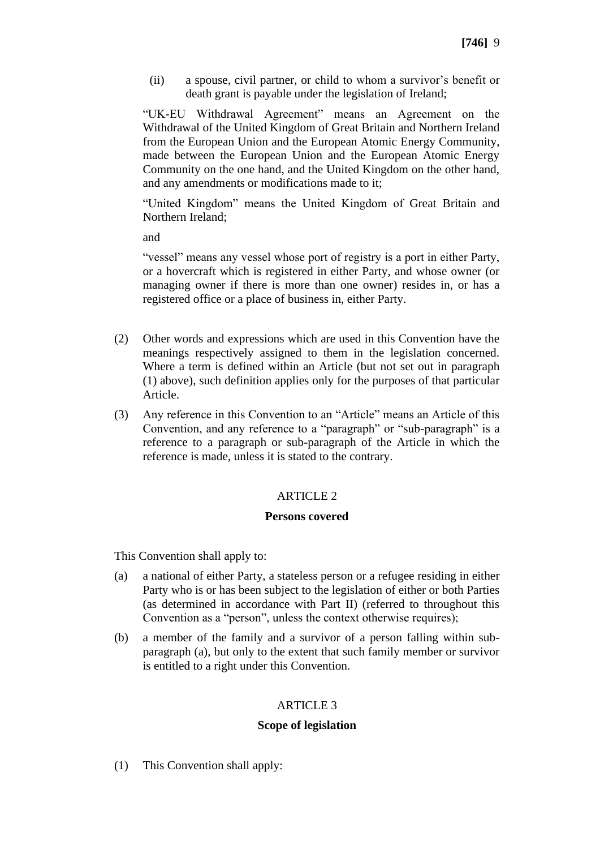(ii) a spouse, civil partner, or child to whom a survivor's benefit or death grant is payable under the legislation of Ireland;

"UK-EU Withdrawal Agreement" means an Agreement on the Withdrawal of the United Kingdom of Great Britain and Northern Ireland from the European Union and the European Atomic Energy Community, made between the European Union and the European Atomic Energy Community on the one hand, and the United Kingdom on the other hand, and any amendments or modifications made to it;

"United Kingdom" means the United Kingdom of Great Britain and Northern Ireland;

and

"vessel" means any vessel whose port of registry is a port in either Party, or a hovercraft which is registered in either Party, and whose owner (or managing owner if there is more than one owner) resides in, or has a registered office or a place of business in, either Party.

- (2) Other words and expressions which are used in this Convention have the meanings respectively assigned to them in the legislation concerned. Where a term is defined within an Article (but not set out in paragraph (1) above), such definition applies only for the purposes of that particular Article.
- (3) Any reference in this Convention to an "Article" means an Article of this Convention, and any reference to a "paragraph" or "sub-paragraph" is a reference to a paragraph or sub-paragraph of the Article in which the reference is made, unless it is stated to the contrary.

# ARTICLE 2

# **Persons covered**

This Convention shall apply to:

- (a) a national of either Party, a stateless person or a refugee residing in either Party who is or has been subject to the legislation of either or both Parties (as determined in accordance with Part II) (referred to throughout this Convention as a "person", unless the context otherwise requires);
- (b) a member of the family and a survivor of a person falling within subparagraph (a), but only to the extent that such family member or survivor is entitled to a right under this Convention.

# ARTICLE 3

# **Scope of legislation**

(1) This Convention shall apply: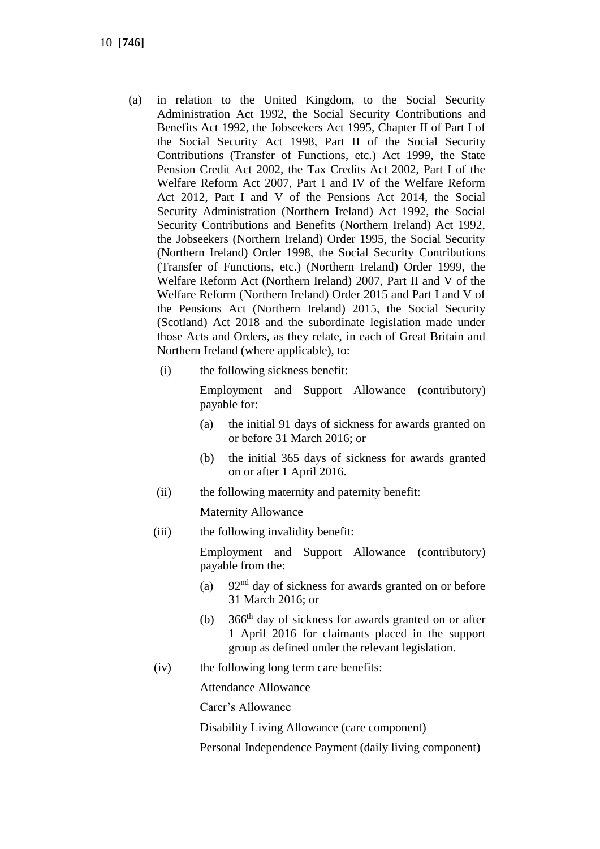- 10 **[746]**
	- (a) in relation to the United Kingdom, to the Social Security Administration Act 1992, the Social Security Contributions and Benefits Act 1992, the Jobseekers Act 1995, Chapter II of Part I of the Social Security Act 1998, Part II of the Social Security Contributions (Transfer of Functions, etc.) Act 1999, the State Pension Credit Act 2002, the Tax Credits Act 2002, Part I of the Welfare Reform Act 2007, Part I and IV of the Welfare Reform Act 2012, Part I and V of the Pensions Act 2014, the Social Security Administration (Northern Ireland) Act 1992, the Social Security Contributions and Benefits (Northern Ireland) Act 1992, the Jobseekers (Northern Ireland) Order 1995, the Social Security (Northern Ireland) Order 1998, the Social Security Contributions (Transfer of Functions, etc.) (Northern Ireland) Order 1999, the Welfare Reform Act (Northern Ireland) 2007, Part II and V of the Welfare Reform (Northern Ireland) Order 2015 and Part I and V of the Pensions Act (Northern Ireland) 2015, the Social Security (Scotland) Act 2018 and the subordinate legislation made under those Acts and Orders, as they relate, in each of Great Britain and Northern Ireland (where applicable), to:
		- (i) the following sickness benefit:

Employment and Support Allowance (contributory) payable for:

- (a) the initial 91 days of sickness for awards granted on or before 31 March 2016; or
- (b) the initial 365 days of sickness for awards granted on or after 1 April 2016.
- (ii) the following maternity and paternity benefit:

Maternity Allowance

(iii) the following invalidity benefit:

Employment and Support Allowance (contributory) payable from the:

- (a) 92nd day of sickness for awards granted on or before 31 March 2016; or
- (b)  $366<sup>th</sup>$  day of sickness for awards granted on or after 1 April 2016 for claimants placed in the support group as defined under the relevant legislation.
- (iv) the following long term care benefits:

Attendance Allowance

Carer's Allowance

Disability Living Allowance (care component)

Personal Independence Payment (daily living component)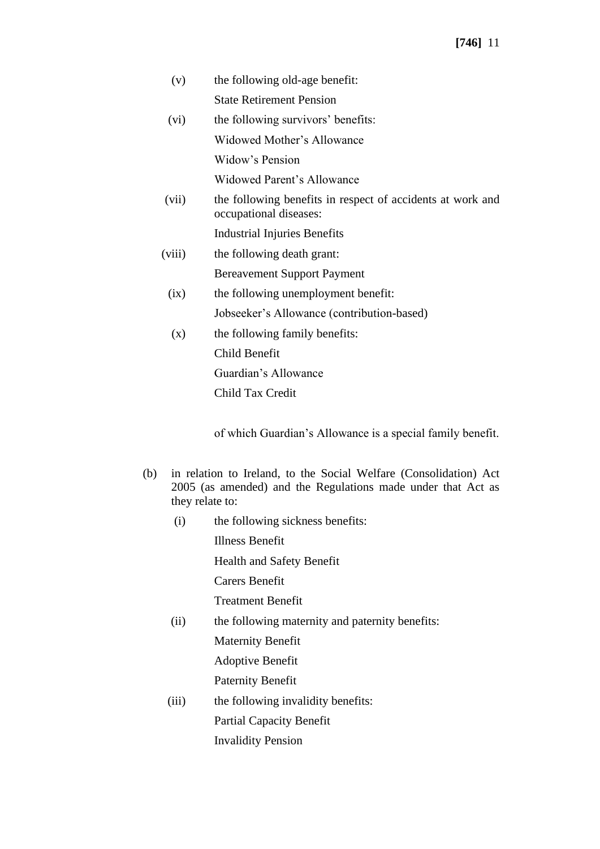| (v)    | the following old-age benefit:                                                       |
|--------|--------------------------------------------------------------------------------------|
|        | <b>State Retirement Pension</b>                                                      |
| (vi)   | the following survivors' benefits:                                                   |
|        | Widowed Mother's Allowance                                                           |
|        | Widow's Pension                                                                      |
|        | Widowed Parent's Allowance                                                           |
| (vii)  | the following benefits in respect of accidents at work and<br>occupational diseases: |
|        | <b>Industrial Injuries Benefits</b>                                                  |
| (viii) | the following death grant:                                                           |
|        | <b>Bereavement Support Payment</b>                                                   |
| (ix)   | the following unemployment benefit:                                                  |
|        | Jobseeker's Allowance (contribution-based)                                           |
| (x)    | the following family benefits:                                                       |
|        | Child Benefit                                                                        |
|        | Guardian's Allowance                                                                 |
|        | Child Tax Credit                                                                     |

of which Guardian's Allowance is a special family benefit.

- (b) in relation to Ireland, to the Social Welfare (Consolidation) Act 2005 (as amended) and the Regulations made under that Act as they relate to:
	- (i) the following sickness benefits:
		- Illness Benefit

Health and Safety Benefit

Carers Benefit

Treatment Benefit

(ii) the following maternity and paternity benefits:

Maternity Benefit

Adoptive Benefit

Paternity Benefit

(iii) the following invalidity benefits: Partial Capacity Benefit Invalidity Pension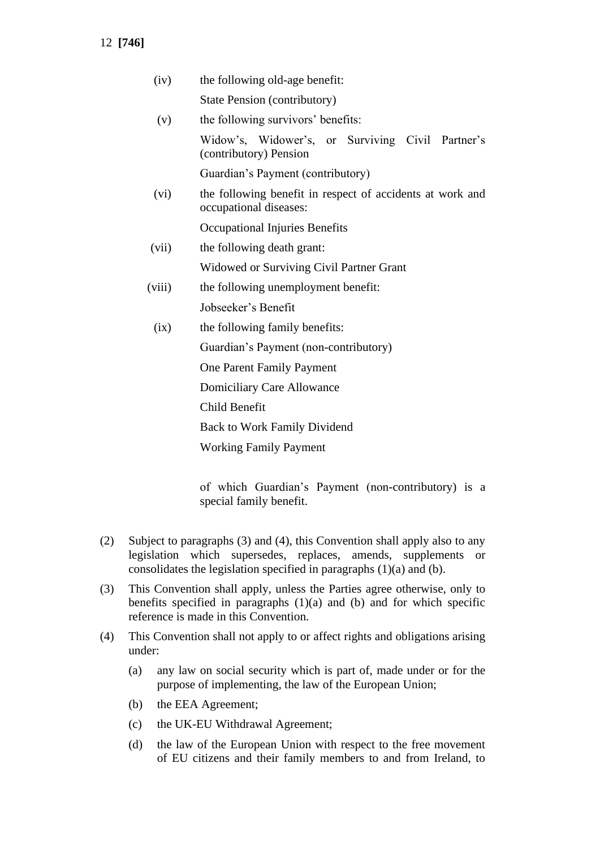12 **[746]**

| (iv)   | the following old-age benefit:                                                      |
|--------|-------------------------------------------------------------------------------------|
|        | <b>State Pension (contributory)</b>                                                 |
| (v)    | the following survivors' benefits:                                                  |
|        | Widow's, Widower's, or Surviving Civil Partner's<br>(contributory) Pension          |
|        | Guardian's Payment (contributory)                                                   |
| (vi)   | the following benefit in respect of accidents at work and<br>occupational diseases: |
|        | Occupational Injuries Benefits                                                      |
| (vii)  | the following death grant:                                                          |
|        | <b>Widowed or Surviving Civil Partner Grant</b>                                     |
| (viii) | the following unemployment benefit:                                                 |
|        | Jobseeker's Benefit                                                                 |
| (ix)   | the following family benefits:                                                      |
|        | Guardian's Payment (non-contributory)                                               |
|        | One Parent Family Payment                                                           |
|        | Domiciliary Care Allowance                                                          |
|        | Child Benefit                                                                       |
|        | <b>Back to Work Family Dividend</b>                                                 |
|        | <b>Working Family Payment</b>                                                       |
|        |                                                                                     |

of which Guardian's Payment (non-contributory) is a special family benefit.

- (2) Subject to paragraphs (3) and (4), this Convention shall apply also to any legislation which supersedes, replaces, amends, supplements or consolidates the legislation specified in paragraphs (1)(a) and (b).
- (3) This Convention shall apply, unless the Parties agree otherwise, only to benefits specified in paragraphs  $(1)(a)$  and  $(b)$  and for which specific reference is made in this Convention.
- (4) This Convention shall not apply to or affect rights and obligations arising under:
	- (a) any law on social security which is part of, made under or for the purpose of implementing, the law of the European Union;
	- (b) the EEA Agreement;
	- (c) the UK-EU Withdrawal Agreement;
	- (d) the law of the European Union with respect to the free movement of EU citizens and their family members to and from Ireland, to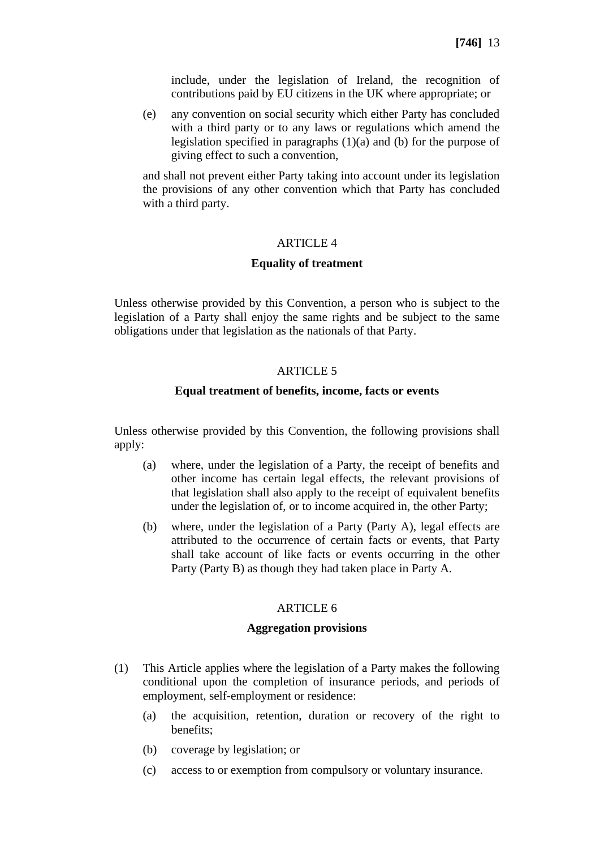include, under the legislation of Ireland, the recognition of contributions paid by EU citizens in the UK where appropriate; or

(e) any convention on social security which either Party has concluded with a third party or to any laws or regulations which amend the legislation specified in paragraphs (1)(a) and (b) for the purpose of giving effect to such a convention,

and shall not prevent either Party taking into account under its legislation the provisions of any other convention which that Party has concluded with a third party.

#### ARTICLE 4

#### **Equality of treatment**

Unless otherwise provided by this Convention, a person who is subject to the legislation of a Party shall enjoy the same rights and be subject to the same obligations under that legislation as the nationals of that Party.

#### ARTICLE 5

#### **Equal treatment of benefits, income, facts or events**

Unless otherwise provided by this Convention, the following provisions shall apply:

- (a) where, under the legislation of a Party, the receipt of benefits and other income has certain legal effects, the relevant provisions of that legislation shall also apply to the receipt of equivalent benefits under the legislation of, or to income acquired in, the other Party;
- (b) where, under the legislation of a Party (Party A), legal effects are attributed to the occurrence of certain facts or events, that Party shall take account of like facts or events occurring in the other Party (Party B) as though they had taken place in Party A.

#### ARTICLE 6

#### **Aggregation provisions**

- (1) This Article applies where the legislation of a Party makes the following conditional upon the completion of insurance periods, and periods of employment, self-employment or residence:
	- (a) the acquisition, retention, duration or recovery of the right to benefits;
	- (b) coverage by legislation; or
	- (c) access to or exemption from compulsory or voluntary insurance.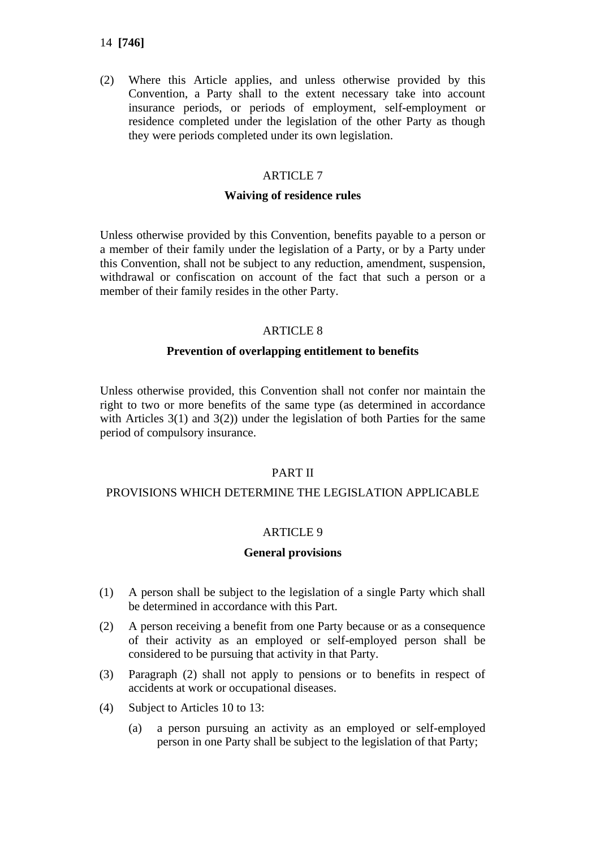### 14 **[746]**

(2) Where this Article applies, and unless otherwise provided by this Convention, a Party shall to the extent necessary take into account insurance periods, or periods of employment, self-employment or residence completed under the legislation of the other Party as though they were periods completed under its own legislation.

### ARTICLE 7

#### **Waiving of residence rules**

Unless otherwise provided by this Convention, benefits payable to a person or a member of their family under the legislation of a Party, or by a Party under this Convention, shall not be subject to any reduction, amendment, suspension, withdrawal or confiscation on account of the fact that such a person or a member of their family resides in the other Party.

# ARTICLE 8

#### **Prevention of overlapping entitlement to benefits**

Unless otherwise provided, this Convention shall not confer nor maintain the right to two or more benefits of the same type (as determined in accordance with Articles  $3(1)$  and  $3(2)$ ) under the legislation of both Parties for the same period of compulsory insurance.

# PART II

## PROVISIONS WHICH DETERMINE THE LEGISLATION APPLICABLE

#### ARTICLE 9

#### **General provisions**

- (1) A person shall be subject to the legislation of a single Party which shall be determined in accordance with this Part.
- (2) A person receiving a benefit from one Party because or as a consequence of their activity as an employed or self-employed person shall be considered to be pursuing that activity in that Party.
- (3) Paragraph (2) shall not apply to pensions or to benefits in respect of accidents at work or occupational diseases.
- (4) Subject to Articles 10 to 13:
	- (a) a person pursuing an activity as an employed or self-employed person in one Party shall be subject to the legislation of that Party;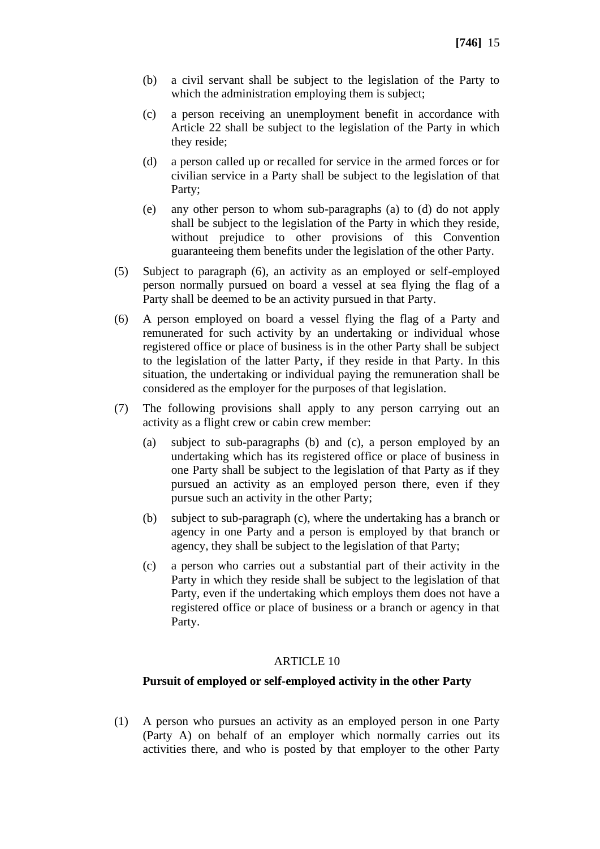- (b) a civil servant shall be subject to the legislation of the Party to which the administration employing them is subject;
- (c) a person receiving an unemployment benefit in accordance with Article 22 shall be subject to the legislation of the Party in which they reside;
- (d) a person called up or recalled for service in the armed forces or for civilian service in a Party shall be subject to the legislation of that Party;
- (e) any other person to whom sub-paragraphs (a) to (d) do not apply shall be subject to the legislation of the Party in which they reside, without prejudice to other provisions of this Convention guaranteeing them benefits under the legislation of the other Party.
- (5) Subject to paragraph (6), an activity as an employed or self-employed person normally pursued on board a vessel at sea flying the flag of a Party shall be deemed to be an activity pursued in that Party.
- (6) A person employed on board a vessel flying the flag of a Party and remunerated for such activity by an undertaking or individual whose registered office or place of business is in the other Party shall be subject to the legislation of the latter Party, if they reside in that Party. In this situation, the undertaking or individual paying the remuneration shall be considered as the employer for the purposes of that legislation.
- (7) The following provisions shall apply to any person carrying out an activity as a flight crew or cabin crew member:
	- (a) subject to sub-paragraphs (b) and (c), a person employed by an undertaking which has its registered office or place of business in one Party shall be subject to the legislation of that Party as if they pursued an activity as an employed person there, even if they pursue such an activity in the other Party;
	- (b) subject to sub-paragraph (c), where the undertaking has a branch or agency in one Party and a person is employed by that branch or agency, they shall be subject to the legislation of that Party;
	- (c) a person who carries out a substantial part of their activity in the Party in which they reside shall be subject to the legislation of that Party, even if the undertaking which employs them does not have a registered office or place of business or a branch or agency in that Party.

# **Pursuit of employed or self-employed activity in the other Party**

(1) A person who pursues an activity as an employed person in one Party (Party A) on behalf of an employer which normally carries out its activities there, and who is posted by that employer to the other Party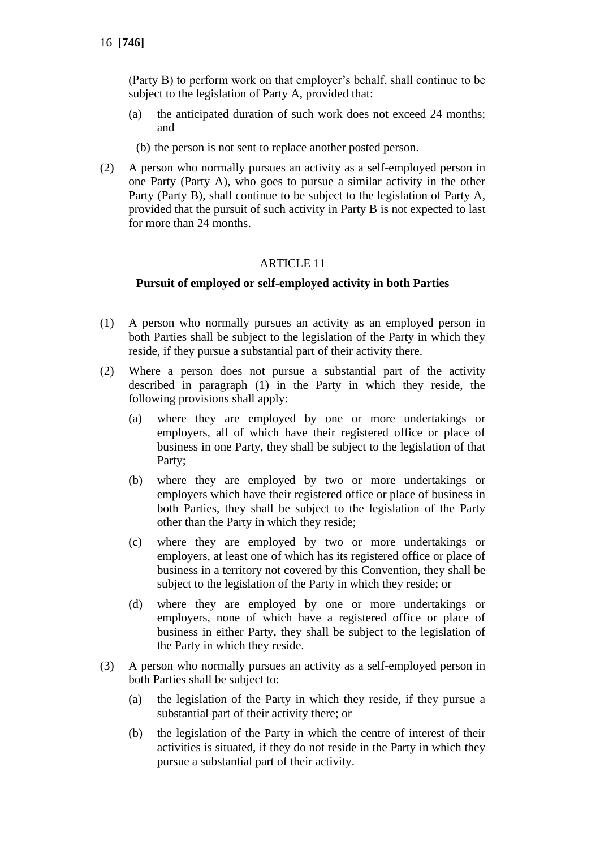(Party B) to perform work on that employer's behalf, shall continue to be subject to the legislation of Party A, provided that:

- (a) the anticipated duration of such work does not exceed 24 months; and
	- (b) the person is not sent to replace another posted person.
- (2) A person who normally pursues an activity as a self-employed person in one Party (Party A), who goes to pursue a similar activity in the other Party (Party B), shall continue to be subject to the legislation of Party A, provided that the pursuit of such activity in Party B is not expected to last for more than 24 months.

# ARTICLE 11

# **Pursuit of employed or self-employed activity in both Parties**

- (1) A person who normally pursues an activity as an employed person in both Parties shall be subject to the legislation of the Party in which they reside, if they pursue a substantial part of their activity there.
- (2) Where a person does not pursue a substantial part of the activity described in paragraph (1) in the Party in which they reside, the following provisions shall apply:
	- (a) where they are employed by one or more undertakings or employers, all of which have their registered office or place of business in one Party, they shall be subject to the legislation of that Party;
	- (b) where they are employed by two or more undertakings or employers which have their registered office or place of business in both Parties, they shall be subject to the legislation of the Party other than the Party in which they reside;
	- (c) where they are employed by two or more undertakings or employers, at least one of which has its registered office or place of business in a territory not covered by this Convention, they shall be subject to the legislation of the Party in which they reside; or
	- (d) where they are employed by one or more undertakings or employers, none of which have a registered office or place of business in either Party, they shall be subject to the legislation of the Party in which they reside.
- (3) A person who normally pursues an activity as a self-employed person in both Parties shall be subject to:
	- (a) the legislation of the Party in which they reside, if they pursue a substantial part of their activity there; or
	- (b) the legislation of the Party in which the centre of interest of their activities is situated, if they do not reside in the Party in which they pursue a substantial part of their activity.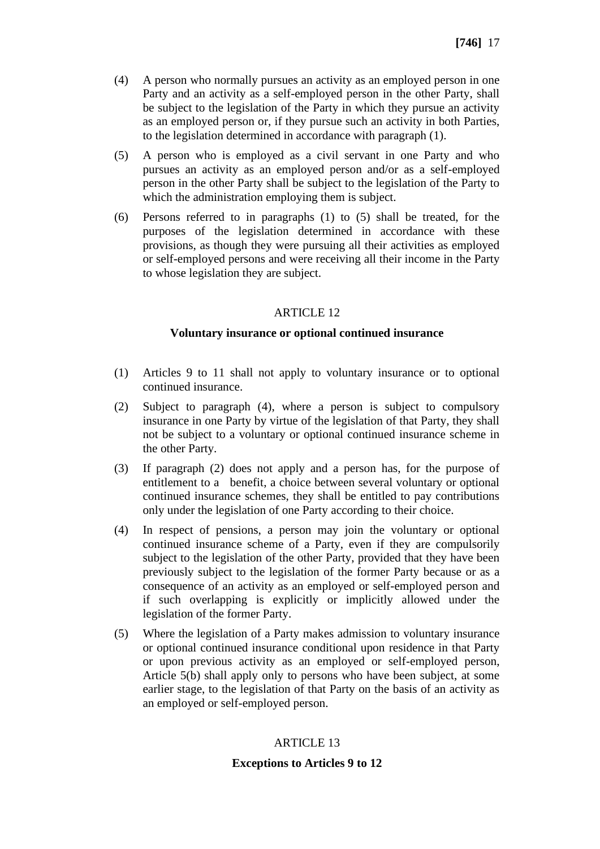- (4) A person who normally pursues an activity as an employed person in one Party and an activity as a self-employed person in the other Party, shall be subject to the legislation of the Party in which they pursue an activity as an employed person or, if they pursue such an activity in both Parties, to the legislation determined in accordance with paragraph (1).
- (5) A person who is employed as a civil servant in one Party and who pursues an activity as an employed person and/or as a self-employed person in the other Party shall be subject to the legislation of the Party to which the administration employing them is subject.
- (6) Persons referred to in paragraphs (1) to (5) shall be treated, for the purposes of the legislation determined in accordance with these provisions, as though they were pursuing all their activities as employed or self-employed persons and were receiving all their income in the Party to whose legislation they are subject.

#### **Voluntary insurance or optional continued insurance**

- (1) Articles 9 to 11 shall not apply to voluntary insurance or to optional continued insurance.
- (2) Subject to paragraph (4), where a person is subject to compulsory insurance in one Party by virtue of the legislation of that Party, they shall not be subject to a voluntary or optional continued insurance scheme in the other Party.
- (3) If paragraph (2) does not apply and a person has, for the purpose of entitlement to a benefit, a choice between several voluntary or optional continued insurance schemes, they shall be entitled to pay contributions only under the legislation of one Party according to their choice.
- (4) In respect of pensions, a person may join the voluntary or optional continued insurance scheme of a Party, even if they are compulsorily subject to the legislation of the other Party, provided that they have been previously subject to the legislation of the former Party because or as a consequence of an activity as an employed or self-employed person and if such overlapping is explicitly or implicitly allowed under the legislation of the former Party.
- (5) Where the legislation of a Party makes admission to voluntary insurance or optional continued insurance conditional upon residence in that Party or upon previous activity as an employed or self-employed person, Article 5(b) shall apply only to persons who have been subject, at some earlier stage, to the legislation of that Party on the basis of an activity as an employed or self-employed person.

# ARTICLE 13

#### **Exceptions to Articles 9 to 12**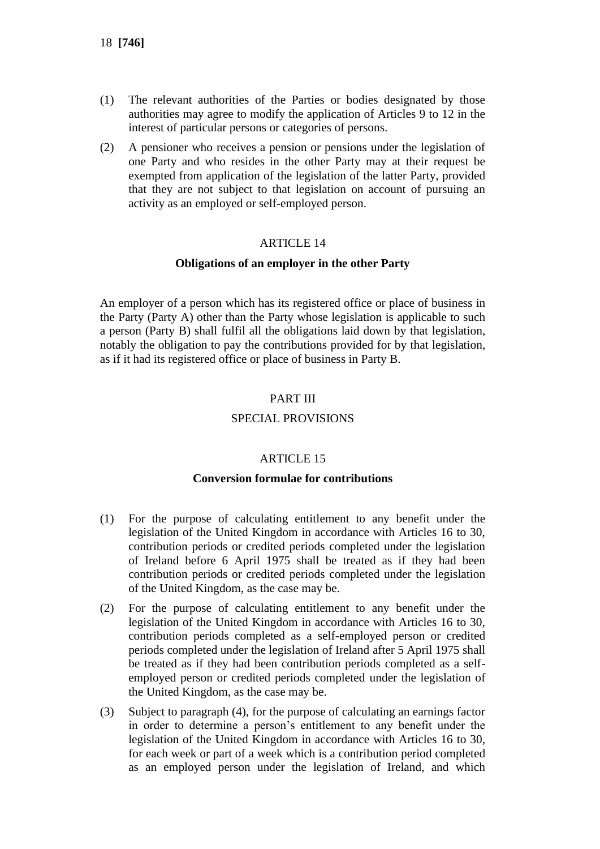- (1) The relevant authorities of the Parties or bodies designated by those authorities may agree to modify the application of Articles 9 to 12 in the interest of particular persons or categories of persons.
- (2) A pensioner who receives a pension or pensions under the legislation of one Party and who resides in the other Party may at their request be exempted from application of the legislation of the latter Party, provided that they are not subject to that legislation on account of pursuing an activity as an employed or self-employed person.

#### **Obligations of an employer in the other Party**

An employer of a person which has its registered office or place of business in the Party (Party A) other than the Party whose legislation is applicable to such a person (Party B) shall fulfil all the obligations laid down by that legislation, notably the obligation to pay the contributions provided for by that legislation, as if it had its registered office or place of business in Party B.

# PART III

#### SPECIAL PROVISIONS

# ARTICLE 15

#### **Conversion formulae for contributions**

- (1) For the purpose of calculating entitlement to any benefit under the legislation of the United Kingdom in accordance with Articles 16 to 30, contribution periods or credited periods completed under the legislation of Ireland before 6 April 1975 shall be treated as if they had been contribution periods or credited periods completed under the legislation of the United Kingdom, as the case may be.
- (2) For the purpose of calculating entitlement to any benefit under the legislation of the United Kingdom in accordance with Articles 16 to 30, contribution periods completed as a self-employed person or credited periods completed under the legislation of Ireland after 5 April 1975 shall be treated as if they had been contribution periods completed as a selfemployed person or credited periods completed under the legislation of the United Kingdom, as the case may be.
- (3) Subject to paragraph (4), for the purpose of calculating an earnings factor in order to determine a person's entitlement to any benefit under the legislation of the United Kingdom in accordance with Articles 16 to 30, for each week or part of a week which is a contribution period completed as an employed person under the legislation of Ireland, and which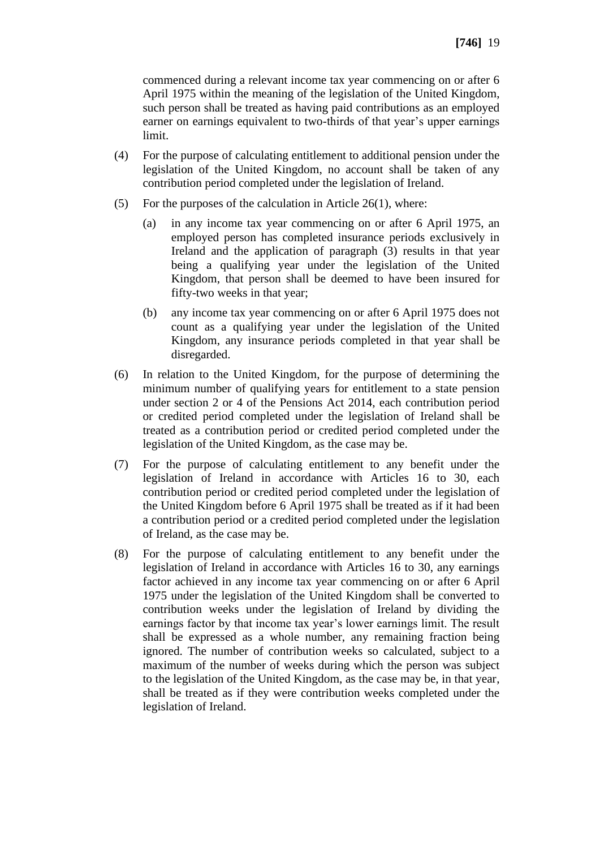commenced during a relevant income tax year commencing on or after 6 April 1975 within the meaning of the legislation of the United Kingdom, such person shall be treated as having paid contributions as an employed earner on earnings equivalent to two-thirds of that year's upper earnings limit.

- (4) For the purpose of calculating entitlement to additional pension under the legislation of the United Kingdom, no account shall be taken of any contribution period completed under the legislation of Ireland.
- (5) For the purposes of the calculation in Article  $26(1)$ , where:
	- (a) in any income tax year commencing on or after 6 April 1975, an employed person has completed insurance periods exclusively in Ireland and the application of paragraph (3) results in that year being a qualifying year under the legislation of the United Kingdom, that person shall be deemed to have been insured for fifty-two weeks in that year;
	- (b) any income tax year commencing on or after 6 April 1975 does not count as a qualifying year under the legislation of the United Kingdom, any insurance periods completed in that year shall be disregarded.
- (6) In relation to the United Kingdom, for the purpose of determining the minimum number of qualifying years for entitlement to a state pension under section 2 or 4 of the Pensions Act 2014, each contribution period or credited period completed under the legislation of Ireland shall be treated as a contribution period or credited period completed under the legislation of the United Kingdom, as the case may be.
- (7) For the purpose of calculating entitlement to any benefit under the legislation of Ireland in accordance with Articles 16 to 30, each contribution period or credited period completed under the legislation of the United Kingdom before 6 April 1975 shall be treated as if it had been a contribution period or a credited period completed under the legislation of Ireland, as the case may be.
- (8) For the purpose of calculating entitlement to any benefit under the legislation of Ireland in accordance with Articles 16 to 30, any earnings factor achieved in any income tax year commencing on or after 6 April 1975 under the legislation of the United Kingdom shall be converted to contribution weeks under the legislation of Ireland by dividing the earnings factor by that income tax year's lower earnings limit. The result shall be expressed as a whole number, any remaining fraction being ignored. The number of contribution weeks so calculated, subject to a maximum of the number of weeks during which the person was subject to the legislation of the United Kingdom, as the case may be, in that year, shall be treated as if they were contribution weeks completed under the legislation of Ireland.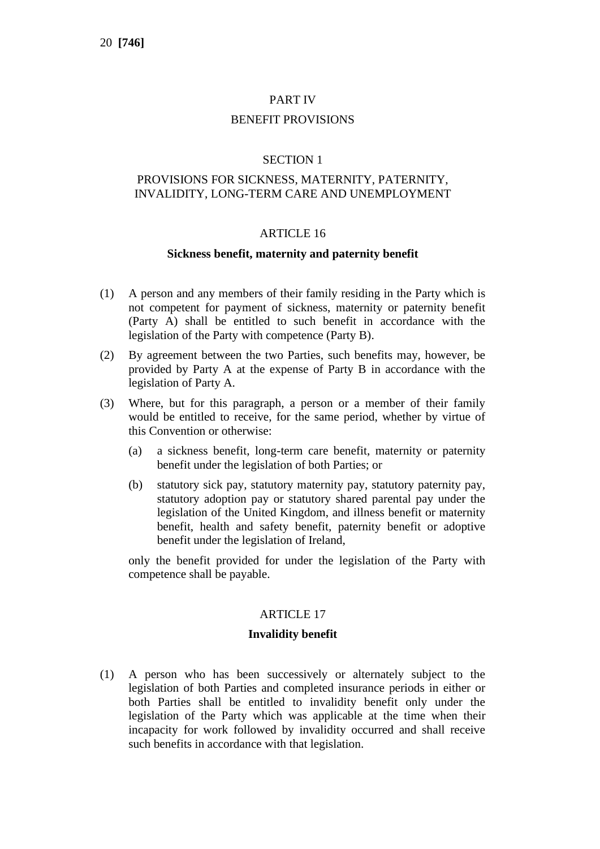# PART IV

#### BENEFIT PROVISIONS

## SECTION 1

## PROVISIONS FOR SICKNESS, MATERNITY, PATERNITY, INVALIDITY, LONG-TERM CARE AND UNEMPLOYMENT

# ARTICLE 16

#### **Sickness benefit, maternity and paternity benefit**

- (1) A person and any members of their family residing in the Party which is not competent for payment of sickness, maternity or paternity benefit (Party A) shall be entitled to such benefit in accordance with the legislation of the Party with competence (Party B).
- (2) By agreement between the two Parties, such benefits may, however, be provided by Party A at the expense of Party B in accordance with the legislation of Party A.
- (3) Where, but for this paragraph, a person or a member of their family would be entitled to receive, for the same period, whether by virtue of this Convention or otherwise:
	- (a) a sickness benefit, long-term care benefit, maternity or paternity benefit under the legislation of both Parties; or
	- (b) statutory sick pay, statutory maternity pay, statutory paternity pay, statutory adoption pay or statutory shared parental pay under the legislation of the United Kingdom, and illness benefit or maternity benefit, health and safety benefit, paternity benefit or adoptive benefit under the legislation of Ireland,

only the benefit provided for under the legislation of the Party with competence shall be payable.

#### ARTICLE 17

#### **Invalidity benefit**

(1) A person who has been successively or alternately subject to the legislation of both Parties and completed insurance periods in either or both Parties shall be entitled to invalidity benefit only under the legislation of the Party which was applicable at the time when their incapacity for work followed by invalidity occurred and shall receive such benefits in accordance with that legislation.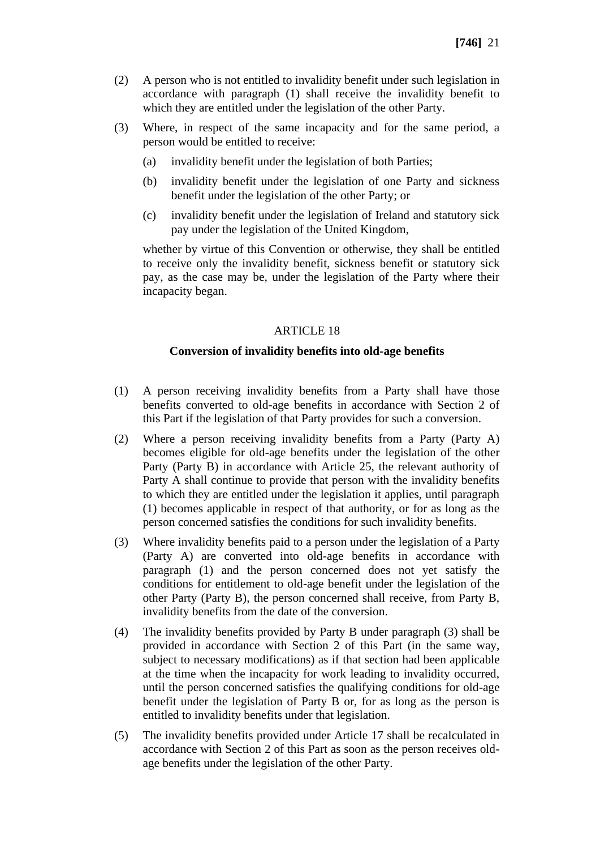- (2) A person who is not entitled to invalidity benefit under such legislation in accordance with paragraph (1) shall receive the invalidity benefit to which they are entitled under the legislation of the other Party.
- (3) Where, in respect of the same incapacity and for the same period, a person would be entitled to receive:
	- (a) invalidity benefit under the legislation of both Parties;
	- (b) invalidity benefit under the legislation of one Party and sickness benefit under the legislation of the other Party; or
	- (c) invalidity benefit under the legislation of Ireland and statutory sick pay under the legislation of the United Kingdom,

whether by virtue of this Convention or otherwise, they shall be entitled to receive only the invalidity benefit, sickness benefit or statutory sick pay, as the case may be, under the legislation of the Party where their incapacity began.

#### ARTICLE 18

#### **Conversion of invalidity benefits into old-age benefits**

- (1) A person receiving invalidity benefits from a Party shall have those benefits converted to old-age benefits in accordance with Section 2 of this Part if the legislation of that Party provides for such a conversion.
- (2) Where a person receiving invalidity benefits from a Party (Party A) becomes eligible for old-age benefits under the legislation of the other Party (Party B) in accordance with Article 25, the relevant authority of Party A shall continue to provide that person with the invalidity benefits to which they are entitled under the legislation it applies, until paragraph (1) becomes applicable in respect of that authority, or for as long as the person concerned satisfies the conditions for such invalidity benefits.
- (3) Where invalidity benefits paid to a person under the legislation of a Party (Party A) are converted into old-age benefits in accordance with paragraph (1) and the person concerned does not yet satisfy the conditions for entitlement to old-age benefit under the legislation of the other Party (Party B), the person concerned shall receive, from Party B, invalidity benefits from the date of the conversion.
- (4) The invalidity benefits provided by Party B under paragraph (3) shall be provided in accordance with Section 2 of this Part (in the same way, subject to necessary modifications) as if that section had been applicable at the time when the incapacity for work leading to invalidity occurred, until the person concerned satisfies the qualifying conditions for old-age benefit under the legislation of Party B or, for as long as the person is entitled to invalidity benefits under that legislation.
- (5) The invalidity benefits provided under Article 17 shall be recalculated in accordance with Section 2 of this Part as soon as the person receives oldage benefits under the legislation of the other Party.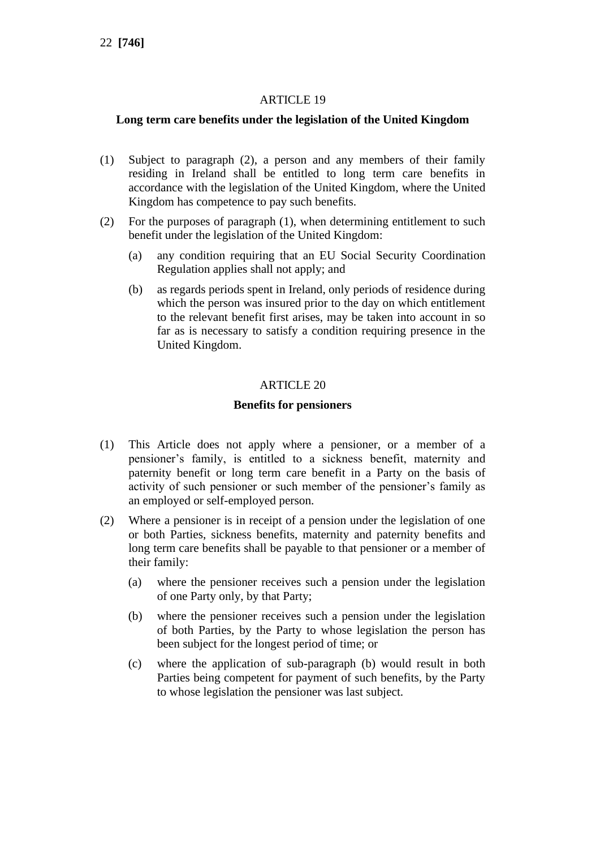# **Long term care benefits under the legislation of the United Kingdom**

- (1) Subject to paragraph (2), a person and any members of their family residing in Ireland shall be entitled to long term care benefits in accordance with the legislation of the United Kingdom, where the United Kingdom has competence to pay such benefits.
- (2) For the purposes of paragraph (1), when determining entitlement to such benefit under the legislation of the United Kingdom:
	- (a) any condition requiring that an EU Social Security Coordination Regulation applies shall not apply; and
	- (b) as regards periods spent in Ireland, only periods of residence during which the person was insured prior to the day on which entitlement to the relevant benefit first arises, may be taken into account in so far as is necessary to satisfy a condition requiring presence in the United Kingdom.

# ARTICLE 20

# **Benefits for pensioners**

- (1) This Article does not apply where a pensioner, or a member of a pensioner's family, is entitled to a sickness benefit, maternity and paternity benefit or long term care benefit in a Party on the basis of activity of such pensioner or such member of the pensioner's family as an employed or self-employed person.
- (2) Where a pensioner is in receipt of a pension under the legislation of one or both Parties, sickness benefits, maternity and paternity benefits and long term care benefits shall be payable to that pensioner or a member of their family:
	- (a) where the pensioner receives such a pension under the legislation of one Party only, by that Party;
	- (b) where the pensioner receives such a pension under the legislation of both Parties, by the Party to whose legislation the person has been subject for the longest period of time; or
	- (c) where the application of sub-paragraph (b) would result in both Parties being competent for payment of such benefits, by the Party to whose legislation the pensioner was last subject.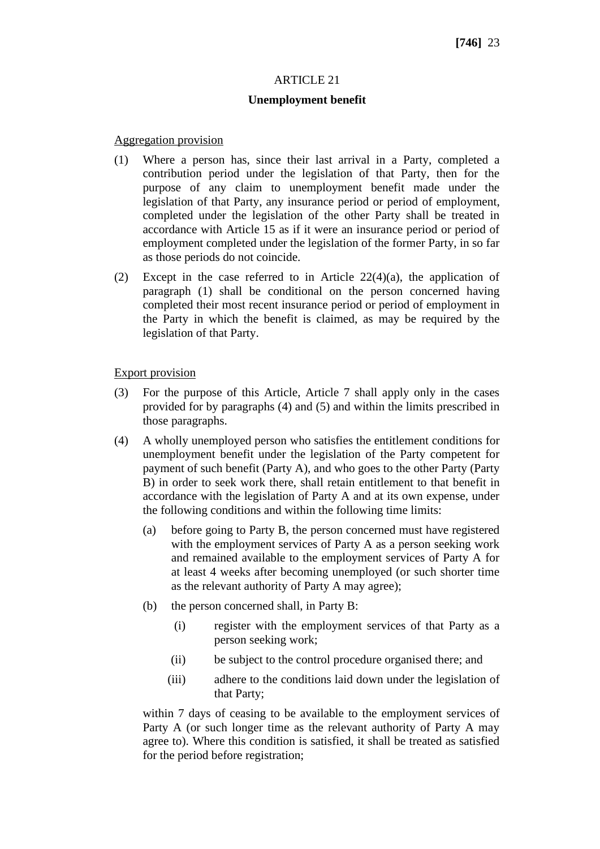# **Unemployment benefit**

## Aggregation provision

- (1) Where a person has, since their last arrival in a Party, completed a contribution period under the legislation of that Party, then for the purpose of any claim to unemployment benefit made under the legislation of that Party, any insurance period or period of employment, completed under the legislation of the other Party shall be treated in accordance with Article 15 as if it were an insurance period or period of employment completed under the legislation of the former Party, in so far as those periods do not coincide.
- (2) Except in the case referred to in Article 22(4)(a), the application of paragraph (1) shall be conditional on the person concerned having completed their most recent insurance period or period of employment in the Party in which the benefit is claimed, as may be required by the legislation of that Party.

# Export provision

- (3) For the purpose of this Article, Article 7 shall apply only in the cases provided for by paragraphs (4) and (5) and within the limits prescribed in those paragraphs.
- (4) A wholly unemployed person who satisfies the entitlement conditions for unemployment benefit under the legislation of the Party competent for payment of such benefit (Party A), and who goes to the other Party (Party B) in order to seek work there, shall retain entitlement to that benefit in accordance with the legislation of Party A and at its own expense, under the following conditions and within the following time limits:
	- (a) before going to Party B, the person concerned must have registered with the employment services of Party A as a person seeking work and remained available to the employment services of Party A for at least 4 weeks after becoming unemployed (or such shorter time as the relevant authority of Party A may agree);
	- (b) the person concerned shall, in Party B:
		- (i) register with the employment services of that Party as a person seeking work;
		- (ii) be subject to the control procedure organised there; and
		- (iii) adhere to the conditions laid down under the legislation of that Party;

within 7 days of ceasing to be available to the employment services of Party A (or such longer time as the relevant authority of Party A may agree to). Where this condition is satisfied, it shall be treated as satisfied for the period before registration;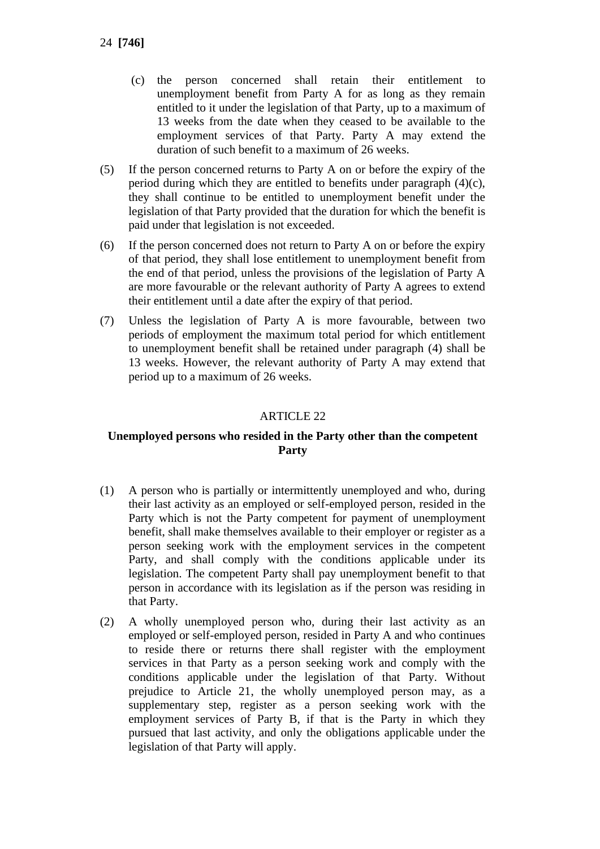- (c) the person concerned shall retain their entitlement to unemployment benefit from Party A for as long as they remain entitled to it under the legislation of that Party, up to a maximum of 13 weeks from the date when they ceased to be available to the employment services of that Party. Party A may extend the duration of such benefit to a maximum of 26 weeks.
- (5) If the person concerned returns to Party A on or before the expiry of the period during which they are entitled to benefits under paragraph  $(4)(c)$ , they shall continue to be entitled to unemployment benefit under the legislation of that Party provided that the duration for which the benefit is paid under that legislation is not exceeded.
- (6) If the person concerned does not return to Party A on or before the expiry of that period, they shall lose entitlement to unemployment benefit from the end of that period, unless the provisions of the legislation of Party A are more favourable or the relevant authority of Party A agrees to extend their entitlement until a date after the expiry of that period.
- (7) Unless the legislation of Party A is more favourable, between two periods of employment the maximum total period for which entitlement to unemployment benefit shall be retained under paragraph (4) shall be 13 weeks. However, the relevant authority of Party A may extend that period up to a maximum of 26 weeks.

# **Unemployed persons who resided in the Party other than the competent Party**

- (1) A person who is partially or intermittently unemployed and who, during their last activity as an employed or self-employed person, resided in the Party which is not the Party competent for payment of unemployment benefit, shall make themselves available to their employer or register as a person seeking work with the employment services in the competent Party, and shall comply with the conditions applicable under its legislation. The competent Party shall pay unemployment benefit to that person in accordance with its legislation as if the person was residing in that Party.
- (2) A wholly unemployed person who, during their last activity as an employed or self-employed person, resided in Party A and who continues to reside there or returns there shall register with the employment services in that Party as a person seeking work and comply with the conditions applicable under the legislation of that Party. Without prejudice to Article 21, the wholly unemployed person may, as a supplementary step, register as a person seeking work with the employment services of Party B, if that is the Party in which they pursued that last activity, and only the obligations applicable under the legislation of that Party will apply.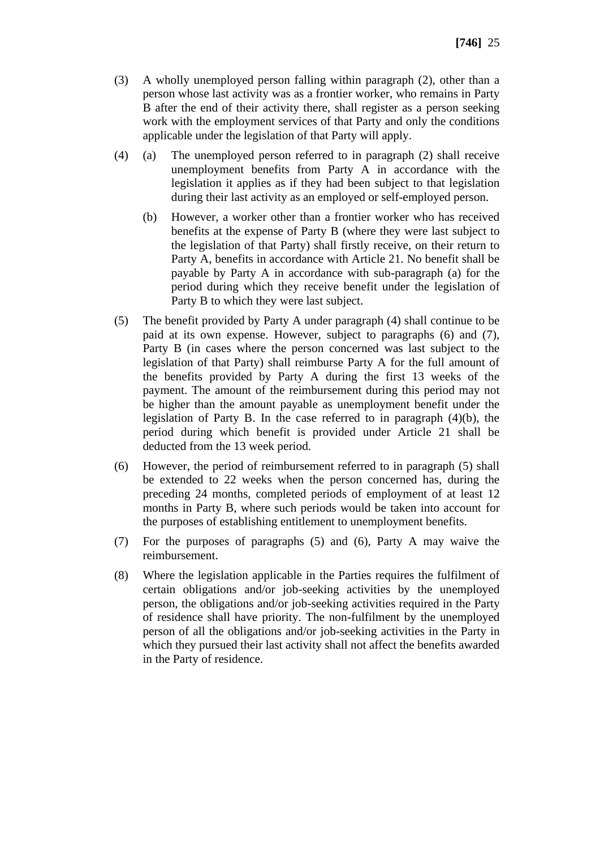- (3) A wholly unemployed person falling within paragraph (2), other than a person whose last activity was as a frontier worker, who remains in Party B after the end of their activity there, shall register as a person seeking work with the employment services of that Party and only the conditions applicable under the legislation of that Party will apply.
- (4) (a) The unemployed person referred to in paragraph (2) shall receive unemployment benefits from Party A in accordance with the legislation it applies as if they had been subject to that legislation during their last activity as an employed or self-employed person.
	- (b) However, a worker other than a frontier worker who has received benefits at the expense of Party B (where they were last subject to the legislation of that Party) shall firstly receive, on their return to Party A, benefits in accordance with Article 21. No benefit shall be payable by Party A in accordance with sub-paragraph (a) for the period during which they receive benefit under the legislation of Party B to which they were last subject.
- (5) The benefit provided by Party A under paragraph (4) shall continue to be paid at its own expense. However, subject to paragraphs (6) and (7), Party B (in cases where the person concerned was last subject to the legislation of that Party) shall reimburse Party A for the full amount of the benefits provided by Party A during the first 13 weeks of the payment. The amount of the reimbursement during this period may not be higher than the amount payable as unemployment benefit under the legislation of Party B. In the case referred to in paragraph (4)(b), the period during which benefit is provided under Article 21 shall be deducted from the 13 week period.
- (6) However, the period of reimbursement referred to in paragraph (5) shall be extended to 22 weeks when the person concerned has, during the preceding 24 months, completed periods of employment of at least 12 months in Party B, where such periods would be taken into account for the purposes of establishing entitlement to unemployment benefits.
- (7) For the purposes of paragraphs (5) and (6), Party A may waive the reimbursement.
- (8) Where the legislation applicable in the Parties requires the fulfilment of certain obligations and/or job-seeking activities by the unemployed person, the obligations and/or job-seeking activities required in the Party of residence shall have priority. The non-fulfilment by the unemployed person of all the obligations and/or job-seeking activities in the Party in which they pursued their last activity shall not affect the benefits awarded in the Party of residence.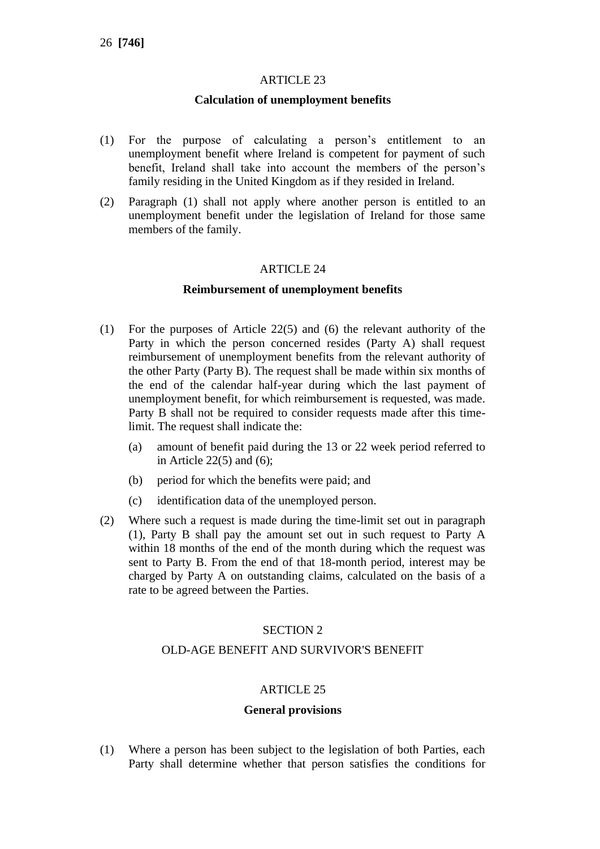# **Calculation of unemployment benefits**

- (1) For the purpose of calculating a person's entitlement to an unemployment benefit where Ireland is competent for payment of such benefit, Ireland shall take into account the members of the person's family residing in the United Kingdom as if they resided in Ireland.
- (2) Paragraph (1) shall not apply where another person is entitled to an unemployment benefit under the legislation of Ireland for those same members of the family.

# ARTICLE 24

#### **Reimbursement of unemployment benefits**

- (1) For the purposes of Article 22(5) and (6) the relevant authority of the Party in which the person concerned resides (Party A) shall request reimbursement of unemployment benefits from the relevant authority of the other Party (Party B). The request shall be made within six months of the end of the calendar half-year during which the last payment of unemployment benefit, for which reimbursement is requested, was made. Party B shall not be required to consider requests made after this timelimit. The request shall indicate the:
	- (a) amount of benefit paid during the 13 or 22 week period referred to in Article 22(5) and (6);
	- (b) period for which the benefits were paid; and
	- (c) identification data of the unemployed person.
- (2) Where such a request is made during the time-limit set out in paragraph (1), Party B shall pay the amount set out in such request to Party A within 18 months of the end of the month during which the request was sent to Party B. From the end of that 18-month period, interest may be charged by Party A on outstanding claims, calculated on the basis of a rate to be agreed between the Parties.

# SECTION 2

# OLD-AGE BENEFIT AND SURVIVOR'S BENEFIT

# ARTICLE 25

# **General provisions**

(1) Where a person has been subject to the legislation of both Parties, each Party shall determine whether that person satisfies the conditions for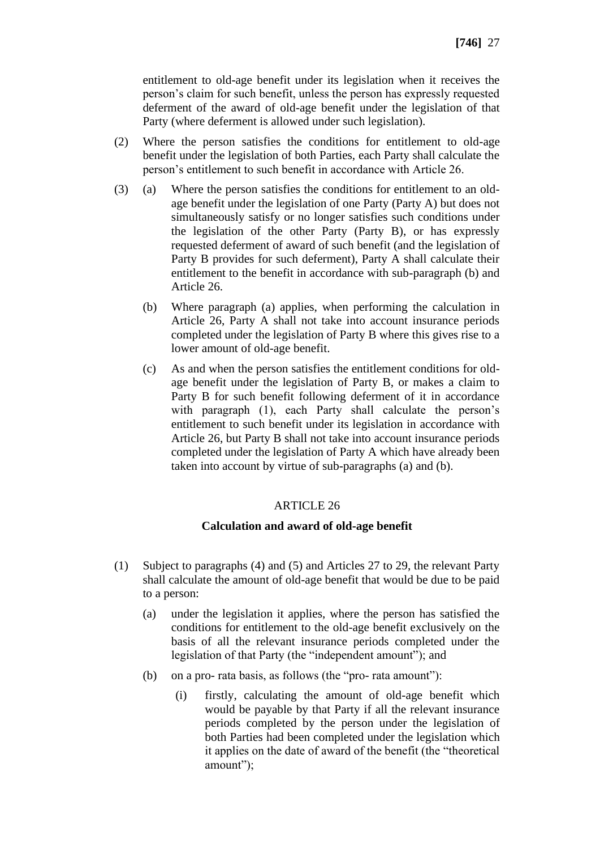entitlement to old-age benefit under its legislation when it receives the person's claim for such benefit, unless the person has expressly requested deferment of the award of old-age benefit under the legislation of that Party (where deferment is allowed under such legislation).

- (2) Where the person satisfies the conditions for entitlement to old-age benefit under the legislation of both Parties, each Party shall calculate the person's entitlement to such benefit in accordance with Article 26.
- (3) (a) Where the person satisfies the conditions for entitlement to an oldage benefit under the legislation of one Party (Party A) but does not simultaneously satisfy or no longer satisfies such conditions under the legislation of the other Party (Party B), or has expressly requested deferment of award of such benefit (and the legislation of Party B provides for such deferment), Party A shall calculate their entitlement to the benefit in accordance with sub-paragraph (b) and Article 26.
	- (b) Where paragraph (a) applies, when performing the calculation in Article 26, Party A shall not take into account insurance periods completed under the legislation of Party B where this gives rise to a lower amount of old-age benefit.
	- (c) As and when the person satisfies the entitlement conditions for oldage benefit under the legislation of Party B, or makes a claim to Party B for such benefit following deferment of it in accordance with paragraph (1), each Party shall calculate the person's entitlement to such benefit under its legislation in accordance with Article 26, but Party B shall not take into account insurance periods completed under the legislation of Party A which have already been taken into account by virtue of sub-paragraphs (a) and (b).

# ARTICLE 26

#### **Calculation and award of old-age benefit**

- (1) Subject to paragraphs (4) and (5) and Articles 27 to 29, the relevant Party shall calculate the amount of old-age benefit that would be due to be paid to a person:
	- (a) under the legislation it applies, where the person has satisfied the conditions for entitlement to the old-age benefit exclusively on the basis of all the relevant insurance periods completed under the legislation of that Party (the "independent amount"); and
	- (b) on a pro- rata basis, as follows (the "pro- rata amount"):
		- (i) firstly, calculating the amount of old-age benefit which would be payable by that Party if all the relevant insurance periods completed by the person under the legislation of both Parties had been completed under the legislation which it applies on the date of award of the benefit (the "theoretical amount");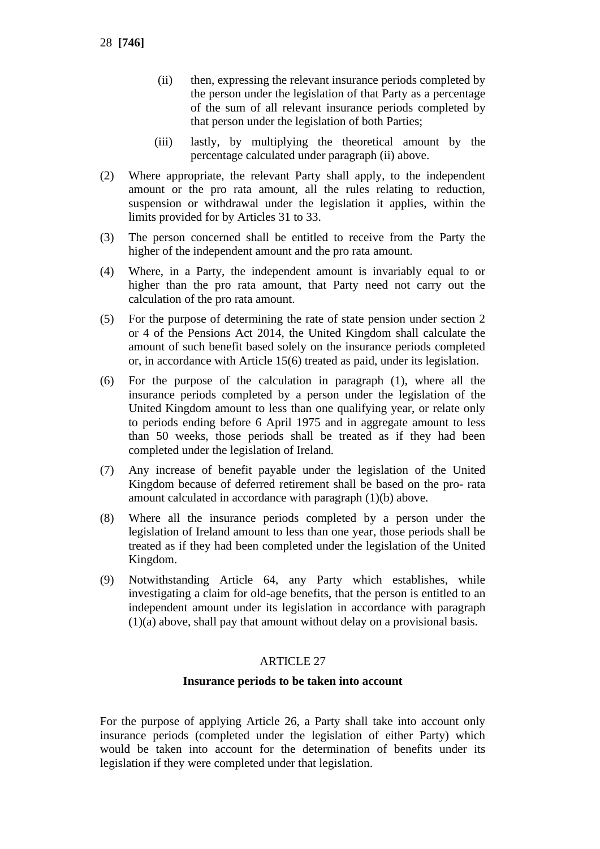- (ii) then, expressing the relevant insurance periods completed by the person under the legislation of that Party as a percentage of the sum of all relevant insurance periods completed by that person under the legislation of both Parties;
- (iii) lastly, by multiplying the theoretical amount by the percentage calculated under paragraph (ii) above.
- (2) Where appropriate, the relevant Party shall apply, to the independent amount or the pro rata amount, all the rules relating to reduction, suspension or withdrawal under the legislation it applies, within the limits provided for by Articles 31 to 33.
- (3) The person concerned shall be entitled to receive from the Party the higher of the independent amount and the pro rata amount.
- (4) Where, in a Party, the independent amount is invariably equal to or higher than the pro rata amount, that Party need not carry out the calculation of the pro rata amount.
- (5) For the purpose of determining the rate of state pension under section 2 or 4 of the Pensions Act 2014, the United Kingdom shall calculate the amount of such benefit based solely on the insurance periods completed or, in accordance with Article 15(6) treated as paid, under its legislation.
- (6) For the purpose of the calculation in paragraph (1), where all the insurance periods completed by a person under the legislation of the United Kingdom amount to less than one qualifying year, or relate only to periods ending before 6 April 1975 and in aggregate amount to less than 50 weeks, those periods shall be treated as if they had been completed under the legislation of Ireland.
- (7) Any increase of benefit payable under the legislation of the United Kingdom because of deferred retirement shall be based on the pro- rata amount calculated in accordance with paragraph (1)(b) above.
- (8) Where all the insurance periods completed by a person under the legislation of Ireland amount to less than one year, those periods shall be treated as if they had been completed under the legislation of the United Kingdom.
- (9) Notwithstanding Article 64, any Party which establishes, while investigating a claim for old-age benefits, that the person is entitled to an independent amount under its legislation in accordance with paragraph (1)(a) above, shall pay that amount without delay on a provisional basis.

#### **Insurance periods to be taken into account**

For the purpose of applying Article 26, a Party shall take into account only insurance periods (completed under the legislation of either Party) which would be taken into account for the determination of benefits under its legislation if they were completed under that legislation.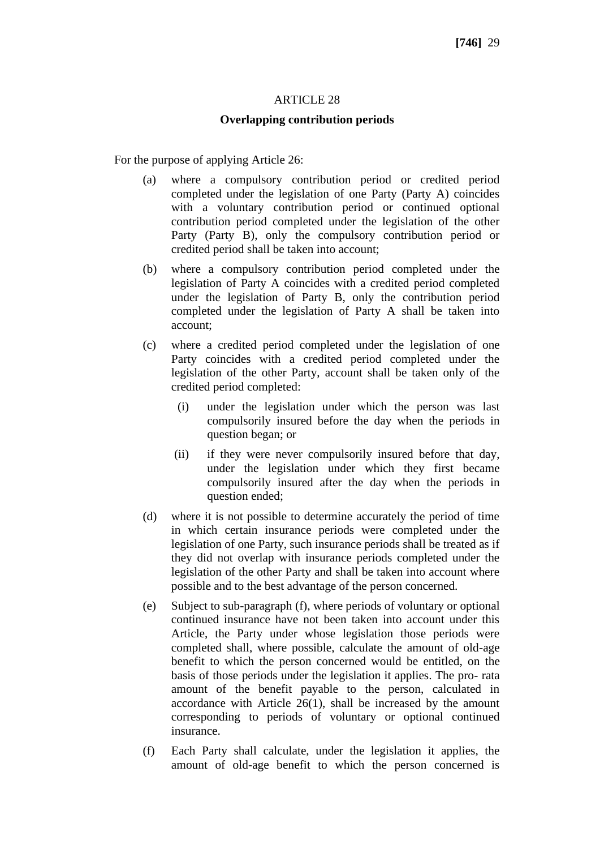## **Overlapping contribution periods**

For the purpose of applying Article 26:

- (a) where a compulsory contribution period or credited period completed under the legislation of one Party (Party A) coincides with a voluntary contribution period or continued optional contribution period completed under the legislation of the other Party (Party B), only the compulsory contribution period or credited period shall be taken into account;
- (b) where a compulsory contribution period completed under the legislation of Party A coincides with a credited period completed under the legislation of Party B, only the contribution period completed under the legislation of Party A shall be taken into account;
- (c) where a credited period completed under the legislation of one Party coincides with a credited period completed under the legislation of the other Party, account shall be taken only of the credited period completed:
	- (i) under the legislation under which the person was last compulsorily insured before the day when the periods in question began; or
	- (ii) if they were never compulsorily insured before that day, under the legislation under which they first became compulsorily insured after the day when the periods in question ended;
- (d) where it is not possible to determine accurately the period of time in which certain insurance periods were completed under the legislation of one Party, such insurance periods shall be treated as if they did not overlap with insurance periods completed under the legislation of the other Party and shall be taken into account where possible and to the best advantage of the person concerned.
- (e) Subject to sub-paragraph (f), where periods of voluntary or optional continued insurance have not been taken into account under this Article, the Party under whose legislation those periods were completed shall, where possible, calculate the amount of old-age benefit to which the person concerned would be entitled, on the basis of those periods under the legislation it applies. The pro- rata amount of the benefit payable to the person, calculated in accordance with Article 26(1), shall be increased by the amount corresponding to periods of voluntary or optional continued insurance.
- (f) Each Party shall calculate, under the legislation it applies, the amount of old-age benefit to which the person concerned is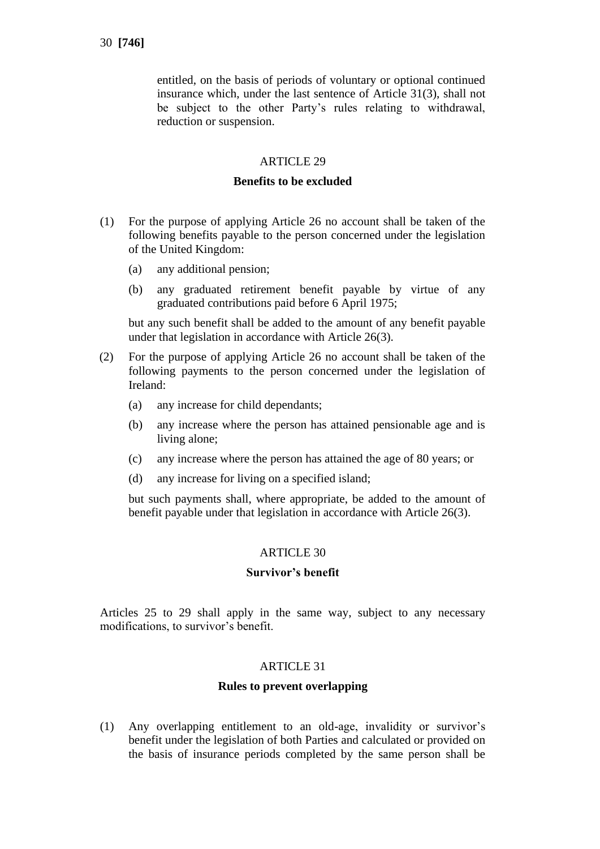entitled, on the basis of periods of voluntary or optional continued insurance which, under the last sentence of Article 31(3), shall not be subject to the other Party's rules relating to withdrawal, reduction or suspension.

## ARTICLE 29

#### **Benefits to be excluded**

- (1) For the purpose of applying Article 26 no account shall be taken of the following benefits payable to the person concerned under the legislation of the United Kingdom:
	- (a) any additional pension;
	- (b) any graduated retirement benefit payable by virtue of any graduated contributions paid before 6 April 1975;

but any such benefit shall be added to the amount of any benefit payable under that legislation in accordance with Article 26(3).

- (2) For the purpose of applying Article 26 no account shall be taken of the following payments to the person concerned under the legislation of Ireland:
	- (a) any increase for child dependants;
	- (b) any increase where the person has attained pensionable age and is living alone;
	- (c) any increase where the person has attained the age of 80 years; or
	- (d) any increase for living on a specified island;

but such payments shall, where appropriate, be added to the amount of benefit payable under that legislation in accordance with Article 26(3).

#### ARTICLE 30

#### **Survivor's benefit**

Articles 25 to 29 shall apply in the same way, subject to any necessary modifications, to survivor's benefit.

#### ARTICLE 31

#### **Rules to prevent overlapping**

(1) Any overlapping entitlement to an old-age, invalidity or survivor's benefit under the legislation of both Parties and calculated or provided on the basis of insurance periods completed by the same person shall be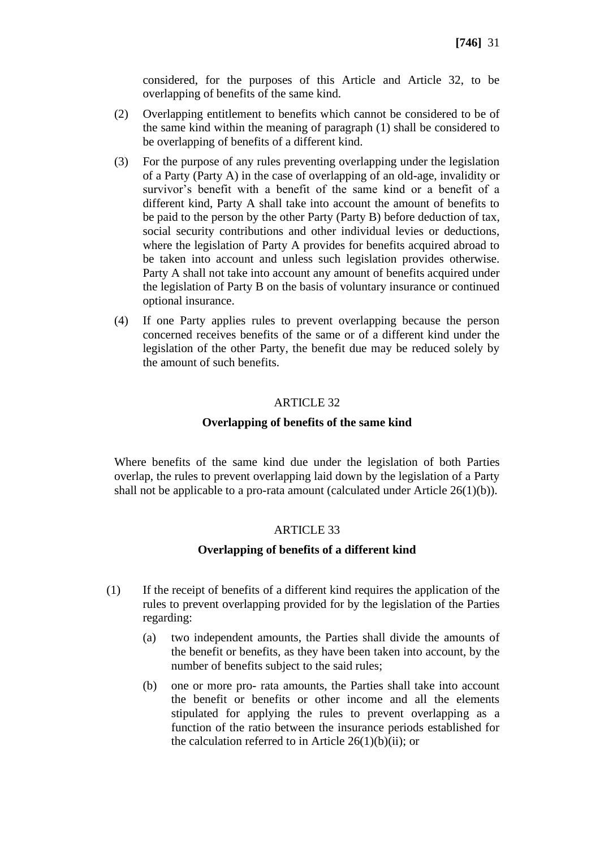considered, for the purposes of this Article and Article 32, to be overlapping of benefits of the same kind.

- (2) Overlapping entitlement to benefits which cannot be considered to be of the same kind within the meaning of paragraph (1) shall be considered to be overlapping of benefits of a different kind.
- (3) For the purpose of any rules preventing overlapping under the legislation of a Party (Party A) in the case of overlapping of an old-age, invalidity or survivor's benefit with a benefit of the same kind or a benefit of a different kind, Party A shall take into account the amount of benefits to be paid to the person by the other Party (Party B) before deduction of tax, social security contributions and other individual levies or deductions, where the legislation of Party A provides for benefits acquired abroad to be taken into account and unless such legislation provides otherwise. Party A shall not take into account any amount of benefits acquired under the legislation of Party B on the basis of voluntary insurance or continued optional insurance.
- (4) If one Party applies rules to prevent overlapping because the person concerned receives benefits of the same or of a different kind under the legislation of the other Party, the benefit due may be reduced solely by the amount of such benefits.

# ARTICLE 32

#### **Overlapping of benefits of the same kind**

Where benefits of the same kind due under the legislation of both Parties overlap, the rules to prevent overlapping laid down by the legislation of a Party shall not be applicable to a pro-rata amount (calculated under Article  $26(1)(b)$ ).

# ARTICLE 33

# **Overlapping of benefits of a different kind**

- (1) If the receipt of benefits of a different kind requires the application of the rules to prevent overlapping provided for by the legislation of the Parties regarding:
	- (a) two independent amounts, the Parties shall divide the amounts of the benefit or benefits, as they have been taken into account, by the number of benefits subject to the said rules;
	- (b) one or more pro- rata amounts, the Parties shall take into account the benefit or benefits or other income and all the elements stipulated for applying the rules to prevent overlapping as a function of the ratio between the insurance periods established for the calculation referred to in Article  $26(1)(b)(ii)$ ; or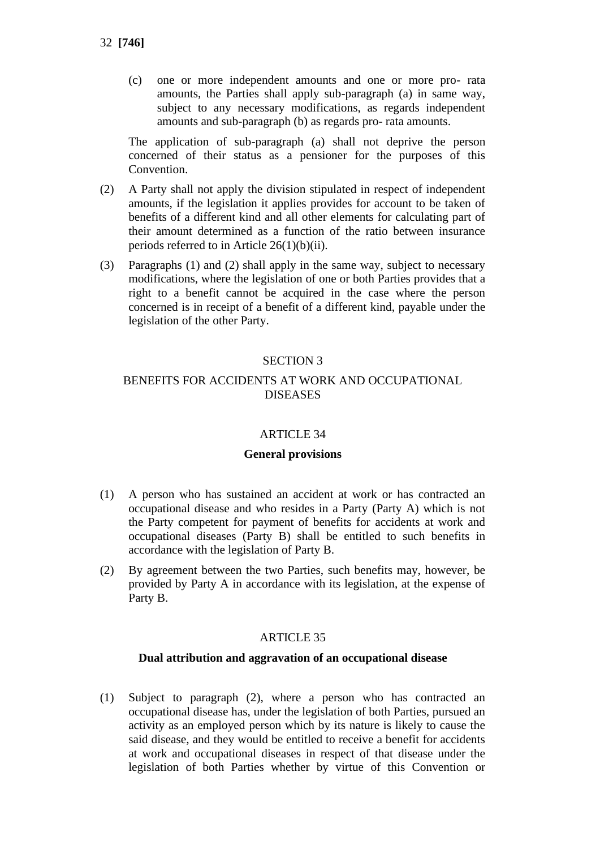(c) one or more independent amounts and one or more pro- rata amounts, the Parties shall apply sub-paragraph (a) in same way, subject to any necessary modifications, as regards independent amounts and sub-paragraph (b) as regards pro- rata amounts.

The application of sub-paragraph (a) shall not deprive the person concerned of their status as a pensioner for the purposes of this Convention.

- (2) A Party shall not apply the division stipulated in respect of independent amounts, if the legislation it applies provides for account to be taken of benefits of a different kind and all other elements for calculating part of their amount determined as a function of the ratio between insurance periods referred to in Article 26(1)(b)(ii).
- (3) Paragraphs (1) and (2) shall apply in the same way, subject to necessary modifications, where the legislation of one or both Parties provides that a right to a benefit cannot be acquired in the case where the person concerned is in receipt of a benefit of a different kind, payable under the legislation of the other Party.

# SECTION 3

# BENEFITS FOR ACCIDENTS AT WORK AND OCCUPATIONAL DISEASES

# ARTICLE 34

#### **General provisions**

- (1) A person who has sustained an accident at work or has contracted an occupational disease and who resides in a Party (Party A) which is not the Party competent for payment of benefits for accidents at work and occupational diseases (Party B) shall be entitled to such benefits in accordance with the legislation of Party B.
- (2) By agreement between the two Parties, such benefits may, however, be provided by Party A in accordance with its legislation, at the expense of Party B.

### ARTICLE 35

#### **Dual attribution and aggravation of an occupational disease**

(1) Subject to paragraph (2), where a person who has contracted an occupational disease has, under the legislation of both Parties, pursued an activity as an employed person which by its nature is likely to cause the said disease, and they would be entitled to receive a benefit for accidents at work and occupational diseases in respect of that disease under the legislation of both Parties whether by virtue of this Convention or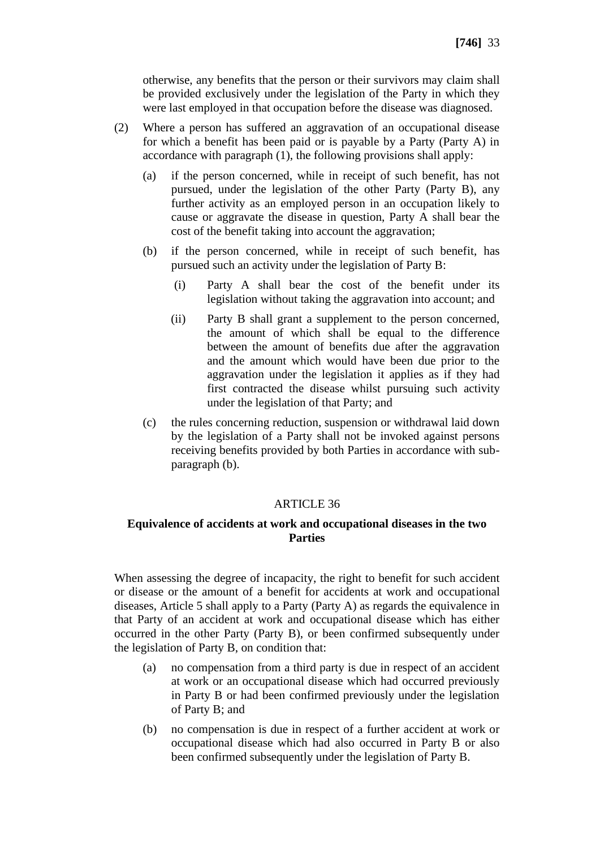otherwise, any benefits that the person or their survivors may claim shall be provided exclusively under the legislation of the Party in which they were last employed in that occupation before the disease was diagnosed.

- (2) Where a person has suffered an aggravation of an occupational disease for which a benefit has been paid or is payable by a Party (Party A) in accordance with paragraph (1), the following provisions shall apply:
	- (a) if the person concerned, while in receipt of such benefit, has not pursued, under the legislation of the other Party (Party B), any further activity as an employed person in an occupation likely to cause or aggravate the disease in question, Party A shall bear the cost of the benefit taking into account the aggravation;
	- (b) if the person concerned, while in receipt of such benefit, has pursued such an activity under the legislation of Party B:
		- (i) Party A shall bear the cost of the benefit under its legislation without taking the aggravation into account; and
		- (ii) Party B shall grant a supplement to the person concerned, the amount of which shall be equal to the difference between the amount of benefits due after the aggravation and the amount which would have been due prior to the aggravation under the legislation it applies as if they had first contracted the disease whilst pursuing such activity under the legislation of that Party; and
	- (c) the rules concerning reduction, suspension or withdrawal laid down by the legislation of a Party shall not be invoked against persons receiving benefits provided by both Parties in accordance with subparagraph (b).

# ARTICLE 36

# **Equivalence of accidents at work and occupational diseases in the two Parties**

When assessing the degree of incapacity, the right to benefit for such accident or disease or the amount of a benefit for accidents at work and occupational diseases, Article 5 shall apply to a Party (Party A) as regards the equivalence in that Party of an accident at work and occupational disease which has either occurred in the other Party (Party B), or been confirmed subsequently under the legislation of Party B, on condition that:

- (a) no compensation from a third party is due in respect of an accident at work or an occupational disease which had occurred previously in Party B or had been confirmed previously under the legislation of Party B; and
- (b) no compensation is due in respect of a further accident at work or occupational disease which had also occurred in Party B or also been confirmed subsequently under the legislation of Party B.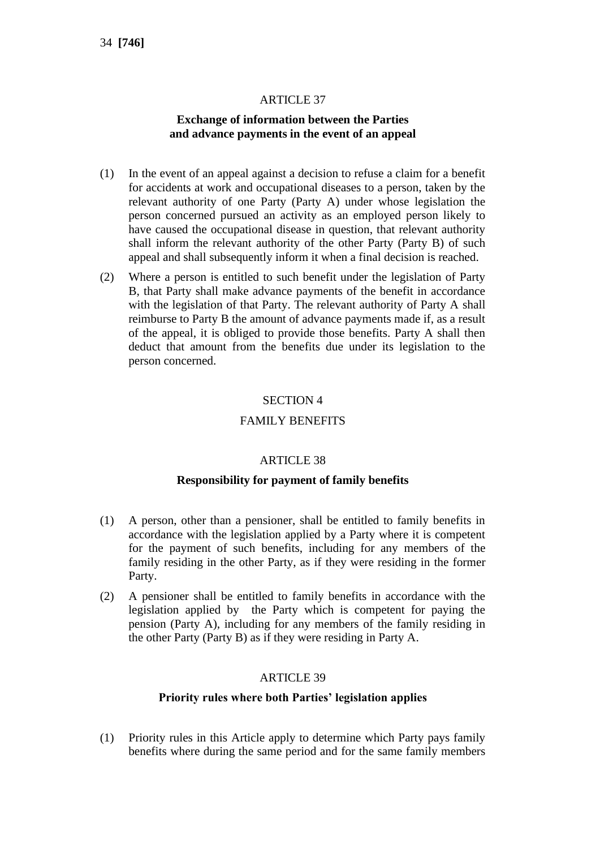# **Exchange of information between the Parties and advance payments in the event of an appeal**

- (1) In the event of an appeal against a decision to refuse a claim for a benefit for accidents at work and occupational diseases to a person, taken by the relevant authority of one Party (Party A) under whose legislation the person concerned pursued an activity as an employed person likely to have caused the occupational disease in question, that relevant authority shall inform the relevant authority of the other Party (Party B) of such appeal and shall subsequently inform it when a final decision is reached.
- (2) Where a person is entitled to such benefit under the legislation of Party B, that Party shall make advance payments of the benefit in accordance with the legislation of that Party. The relevant authority of Party A shall reimburse to Party B the amount of advance payments made if, as a result of the appeal, it is obliged to provide those benefits. Party A shall then deduct that amount from the benefits due under its legislation to the person concerned.

#### SECTION 4

#### FAMILY BENEFITS

# ARTICLE 38

#### **Responsibility for payment of family benefits**

- (1) A person, other than a pensioner, shall be entitled to family benefits in accordance with the legislation applied by a Party where it is competent for the payment of such benefits, including for any members of the family residing in the other Party, as if they were residing in the former Party.
- (2) A pensioner shall be entitled to family benefits in accordance with the legislation applied by the Party which is competent for paying the pension (Party A), including for any members of the family residing in the other Party (Party B) as if they were residing in Party A.

# ARTICLE 39

#### **Priority rules where both Parties' legislation applies**

(1) Priority rules in this Article apply to determine which Party pays family benefits where during the same period and for the same family members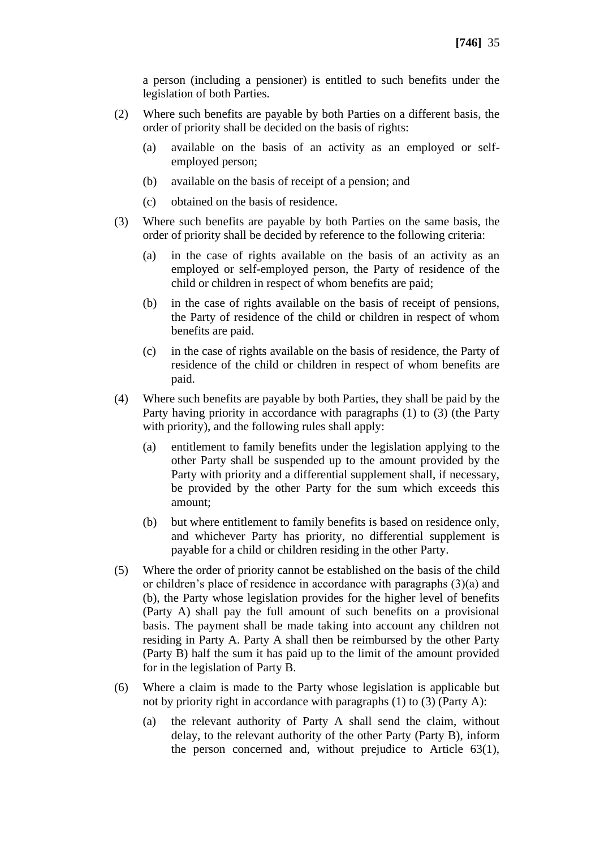a person (including a pensioner) is entitled to such benefits under the legislation of both Parties.

- (2) Where such benefits are payable by both Parties on a different basis, the order of priority shall be decided on the basis of rights:
	- (a) available on the basis of an activity as an employed or selfemployed person;
	- (b) available on the basis of receipt of a pension; and
	- (c) obtained on the basis of residence.
- (3) Where such benefits are payable by both Parties on the same basis, the order of priority shall be decided by reference to the following criteria:
	- (a) in the case of rights available on the basis of an activity as an employed or self-employed person, the Party of residence of the child or children in respect of whom benefits are paid;
	- (b) in the case of rights available on the basis of receipt of pensions, the Party of residence of the child or children in respect of whom benefits are paid.
	- (c) in the case of rights available on the basis of residence, the Party of residence of the child or children in respect of whom benefits are paid.
- (4) Where such benefits are payable by both Parties, they shall be paid by the Party having priority in accordance with paragraphs (1) to (3) (the Party with priority), and the following rules shall apply:
	- (a) entitlement to family benefits under the legislation applying to the other Party shall be suspended up to the amount provided by the Party with priority and a differential supplement shall, if necessary, be provided by the other Party for the sum which exceeds this amount;
	- (b) but where entitlement to family benefits is based on residence only, and whichever Party has priority, no differential supplement is payable for a child or children residing in the other Party.
- (5) Where the order of priority cannot be established on the basis of the child or children's place of residence in accordance with paragraphs (3)(a) and (b), the Party whose legislation provides for the higher level of benefits (Party A) shall pay the full amount of such benefits on a provisional basis. The payment shall be made taking into account any children not residing in Party A. Party A shall then be reimbursed by the other Party (Party B) half the sum it has paid up to the limit of the amount provided for in the legislation of Party B.
- (6) Where a claim is made to the Party whose legislation is applicable but not by priority right in accordance with paragraphs (1) to (3) (Party A):
	- (a) the relevant authority of Party A shall send the claim, without delay, to the relevant authority of the other Party (Party B), inform the person concerned and, without prejudice to Article 63(1),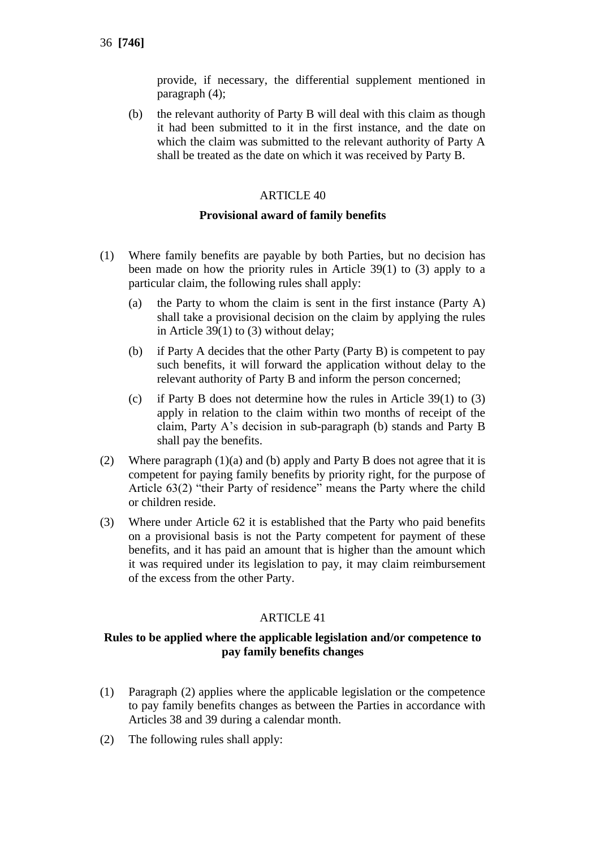provide, if necessary, the differential supplement mentioned in paragraph (4);

(b) the relevant authority of Party B will deal with this claim as though it had been submitted to it in the first instance, and the date on which the claim was submitted to the relevant authority of Party A shall be treated as the date on which it was received by Party B.

#### ARTICLE 40

#### **Provisional award of family benefits**

- (1) Where family benefits are payable by both Parties, but no decision has been made on how the priority rules in Article 39(1) to (3) apply to a particular claim, the following rules shall apply:
	- (a) the Party to whom the claim is sent in the first instance (Party A) shall take a provisional decision on the claim by applying the rules in Article 39(1) to (3) without delay;
	- (b) if Party A decides that the other Party (Party B) is competent to pay such benefits, it will forward the application without delay to the relevant authority of Party B and inform the person concerned;
	- (c) if Party B does not determine how the rules in Article 39(1) to (3) apply in relation to the claim within two months of receipt of the claim, Party A's decision in sub-paragraph (b) stands and Party B shall pay the benefits.
- (2) Where paragraph (1)(a) and (b) apply and Party B does not agree that it is competent for paying family benefits by priority right, for the purpose of Article 63(2) "their Party of residence" means the Party where the child or children reside.
- (3) Where under Article 62 it is established that the Party who paid benefits on a provisional basis is not the Party competent for payment of these benefits, and it has paid an amount that is higher than the amount which it was required under its legislation to pay, it may claim reimbursement of the excess from the other Party.

#### ARTICLE 41

# **Rules to be applied where the applicable legislation and/or competence to pay family benefits changes**

- (1) Paragraph (2) applies where the applicable legislation or the competence to pay family benefits changes as between the Parties in accordance with Articles 38 and 39 during a calendar month.
- (2) The following rules shall apply: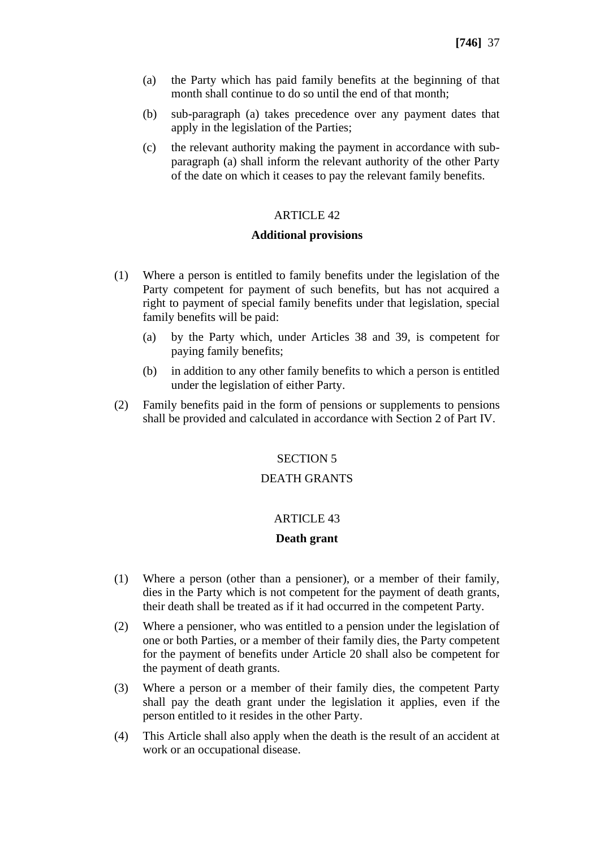- (a) the Party which has paid family benefits at the beginning of that month shall continue to do so until the end of that month;
- (b) sub-paragraph (a) takes precedence over any payment dates that apply in the legislation of the Parties;
- (c) the relevant authority making the payment in accordance with subparagraph (a) shall inform the relevant authority of the other Party of the date on which it ceases to pay the relevant family benefits.

#### **Additional provisions**

- (1) Where a person is entitled to family benefits under the legislation of the Party competent for payment of such benefits, but has not acquired a right to payment of special family benefits under that legislation, special family benefits will be paid:
	- (a) by the Party which, under Articles 38 and 39, is competent for paying family benefits;
	- (b) in addition to any other family benefits to which a person is entitled under the legislation of either Party.
- (2) Family benefits paid in the form of pensions or supplements to pensions shall be provided and calculated in accordance with Section 2 of Part IV.

#### SECTION 5

# DEATH GRANTS

#### ARTICLE 43

#### **Death grant**

- (1) Where a person (other than a pensioner), or a member of their family, dies in the Party which is not competent for the payment of death grants, their death shall be treated as if it had occurred in the competent Party.
- (2) Where a pensioner, who was entitled to a pension under the legislation of one or both Parties, or a member of their family dies, the Party competent for the payment of benefits under Article 20 shall also be competent for the payment of death grants.
- (3) Where a person or a member of their family dies, the competent Party shall pay the death grant under the legislation it applies, even if the person entitled to it resides in the other Party.
- (4) This Article shall also apply when the death is the result of an accident at work or an occupational disease.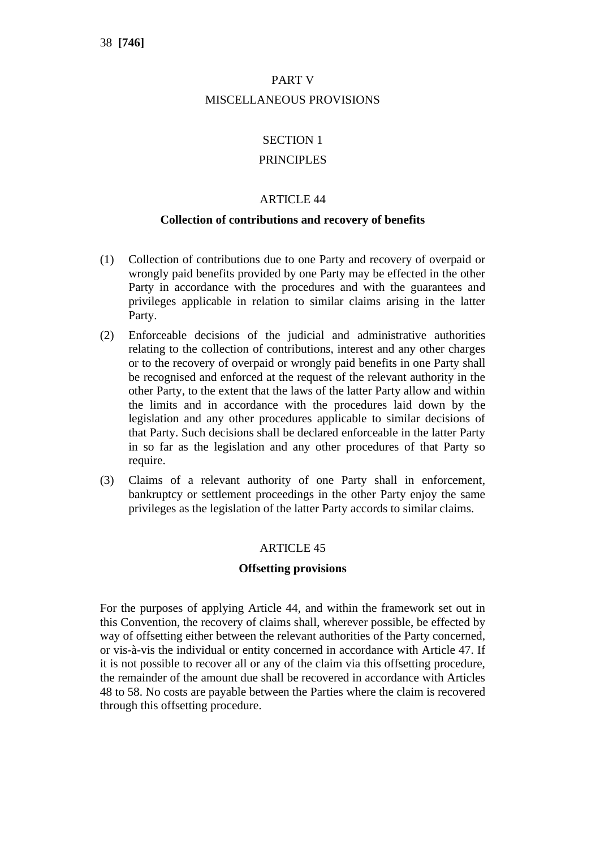# PART V MISCELL ANEOUS PROVISIONS

# SECTION 1

# PRINCIPLES

# ARTICLE 44

# **Collection of contributions and recovery of benefits**

- (1) Collection of contributions due to one Party and recovery of overpaid or wrongly paid benefits provided by one Party may be effected in the other Party in accordance with the procedures and with the guarantees and privileges applicable in relation to similar claims arising in the latter Party.
- (2) Enforceable decisions of the judicial and administrative authorities relating to the collection of contributions, interest and any other charges or to the recovery of overpaid or wrongly paid benefits in one Party shall be recognised and enforced at the request of the relevant authority in the other Party, to the extent that the laws of the latter Party allow and within the limits and in accordance with the procedures laid down by the legislation and any other procedures applicable to similar decisions of that Party. Such decisions shall be declared enforceable in the latter Party in so far as the legislation and any other procedures of that Party so require.
- (3) Claims of a relevant authority of one Party shall in enforcement, bankruptcy or settlement proceedings in the other Party enjoy the same privileges as the legislation of the latter Party accords to similar claims.

# ARTICLE 45

# **Offsetting provisions**

For the purposes of applying Article 44, and within the framework set out in this Convention, the recovery of claims shall, wherever possible, be effected by way of offsetting either between the relevant authorities of the Party concerned, or vis-à-vis the individual or entity concerned in accordance with Article 47. If it is not possible to recover all or any of the claim via this offsetting procedure, the remainder of the amount due shall be recovered in accordance with Articles 48 to 58. No costs are payable between the Parties where the claim is recovered through this offsetting procedure.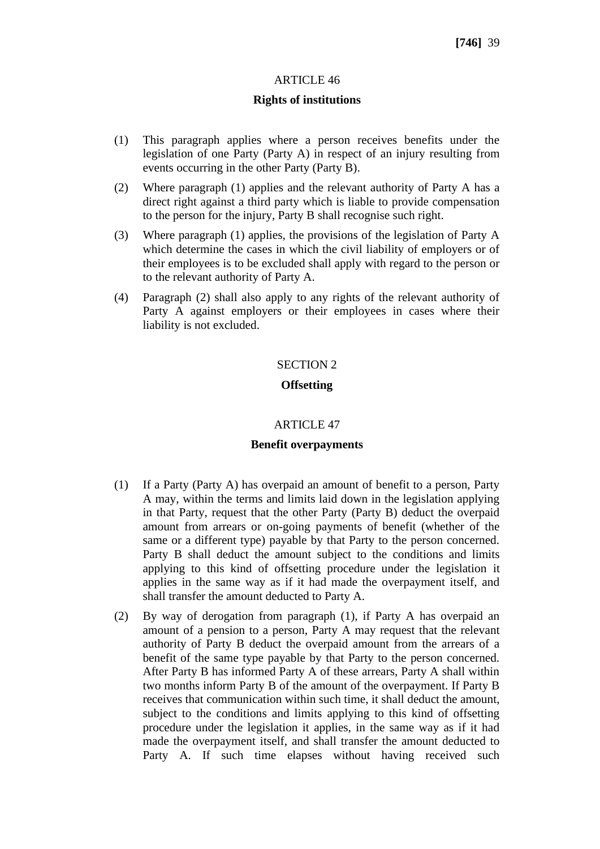#### **Rights of institutions**

- (1) This paragraph applies where a person receives benefits under the legislation of one Party (Party A) in respect of an injury resulting from events occurring in the other Party (Party B).
- (2) Where paragraph (1) applies and the relevant authority of Party A has a direct right against a third party which is liable to provide compensation to the person for the injury, Party B shall recognise such right.
- (3) Where paragraph (1) applies, the provisions of the legislation of Party A which determine the cases in which the civil liability of employers or of their employees is to be excluded shall apply with regard to the person or to the relevant authority of Party A.
- (4) Paragraph (2) shall also apply to any rights of the relevant authority of Party A against employers or their employees in cases where their liability is not excluded.

#### SECTION 2

#### **Offsetting**

#### ARTICLE 47

#### **Benefit overpayments**

- (1) If a Party (Party A) has overpaid an amount of benefit to a person, Party A may, within the terms and limits laid down in the legislation applying in that Party, request that the other Party (Party B) deduct the overpaid amount from arrears or on-going payments of benefit (whether of the same or a different type) payable by that Party to the person concerned. Party B shall deduct the amount subject to the conditions and limits applying to this kind of offsetting procedure under the legislation it applies in the same way as if it had made the overpayment itself, and shall transfer the amount deducted to Party A.
- (2) By way of derogation from paragraph (1), if Party A has overpaid an amount of a pension to a person, Party A may request that the relevant authority of Party B deduct the overpaid amount from the arrears of a benefit of the same type payable by that Party to the person concerned. After Party B has informed Party A of these arrears, Party A shall within two months inform Party B of the amount of the overpayment. If Party B receives that communication within such time, it shall deduct the amount, subject to the conditions and limits applying to this kind of offsetting procedure under the legislation it applies, in the same way as if it had made the overpayment itself, and shall transfer the amount deducted to Party A. If such time elapses without having received such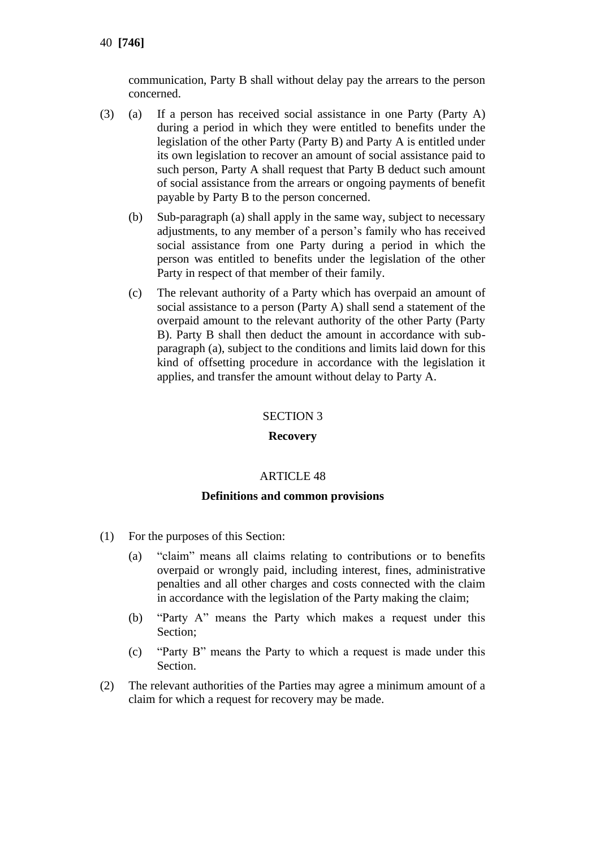# 40 **[746]**

communication, Party B shall without delay pay the arrears to the person concerned.

- (3) (a) If a person has received social assistance in one Party (Party A) during a period in which they were entitled to benefits under the legislation of the other Party (Party B) and Party A is entitled under its own legislation to recover an amount of social assistance paid to such person, Party A shall request that Party B deduct such amount of social assistance from the arrears or ongoing payments of benefit payable by Party B to the person concerned.
	- (b) Sub-paragraph (a) shall apply in the same way, subject to necessary adjustments, to any member of a person's family who has received social assistance from one Party during a period in which the person was entitled to benefits under the legislation of the other Party in respect of that member of their family.
	- (c) The relevant authority of a Party which has overpaid an amount of social assistance to a person (Party A) shall send a statement of the overpaid amount to the relevant authority of the other Party (Party B). Party B shall then deduct the amount in accordance with subparagraph (a), subject to the conditions and limits laid down for this kind of offsetting procedure in accordance with the legislation it applies, and transfer the amount without delay to Party A.

# SECTION 3

### **Recovery**

#### ARTICLE 48

#### **Definitions and common provisions**

- (1) For the purposes of this Section:
	- (a) "claim" means all claims relating to contributions or to benefits overpaid or wrongly paid, including interest, fines, administrative penalties and all other charges and costs connected with the claim in accordance with the legislation of the Party making the claim;
	- (b) "Party A" means the Party which makes a request under this Section;
	- (c) "Party B" means the Party to which a request is made under this Section.
- (2) The relevant authorities of the Parties may agree a minimum amount of a claim for which a request for recovery may be made.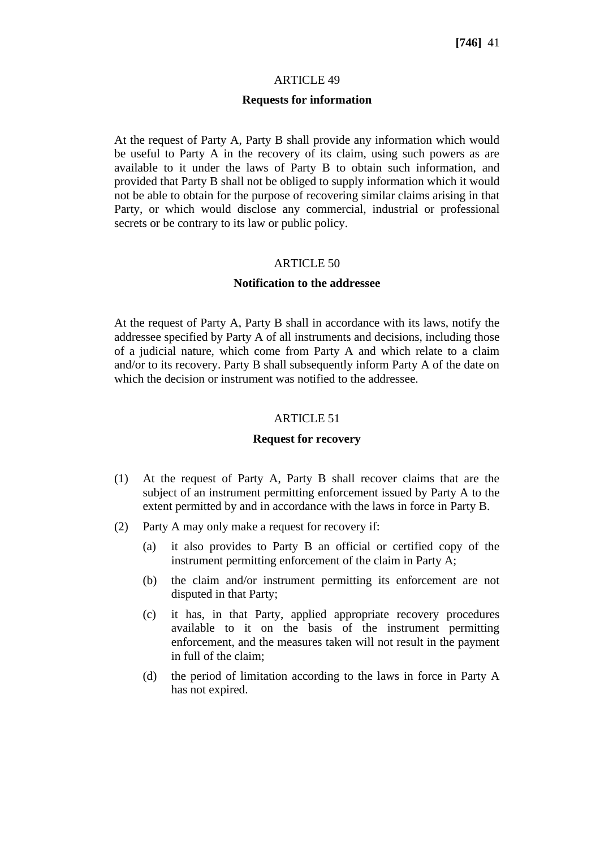#### **Requests for information**

At the request of Party A, Party B shall provide any information which would be useful to Party A in the recovery of its claim, using such powers as are available to it under the laws of Party B to obtain such information, and provided that Party B shall not be obliged to supply information which it would not be able to obtain for the purpose of recovering similar claims arising in that Party, or which would disclose any commercial, industrial or professional secrets or be contrary to its law or public policy.

#### ARTICLE 50

#### **Notification to the addressee**

At the request of Party A, Party B shall in accordance with its laws, notify the addressee specified by Party A of all instruments and decisions, including those of a judicial nature, which come from Party A and which relate to a claim and/or to its recovery. Party B shall subsequently inform Party A of the date on which the decision or instrument was notified to the addressee.

#### ARTICLE 51

#### **Request for recovery**

- (1) At the request of Party A, Party B shall recover claims that are the subject of an instrument permitting enforcement issued by Party A to the extent permitted by and in accordance with the laws in force in Party B.
- (2) Party A may only make a request for recovery if:
	- (a) it also provides to Party B an official or certified copy of the instrument permitting enforcement of the claim in Party A;
	- (b) the claim and/or instrument permitting its enforcement are not disputed in that Party;
	- (c) it has, in that Party, applied appropriate recovery procedures available to it on the basis of the instrument permitting enforcement, and the measures taken will not result in the payment in full of the claim;
	- (d) the period of limitation according to the laws in force in Party A has not expired.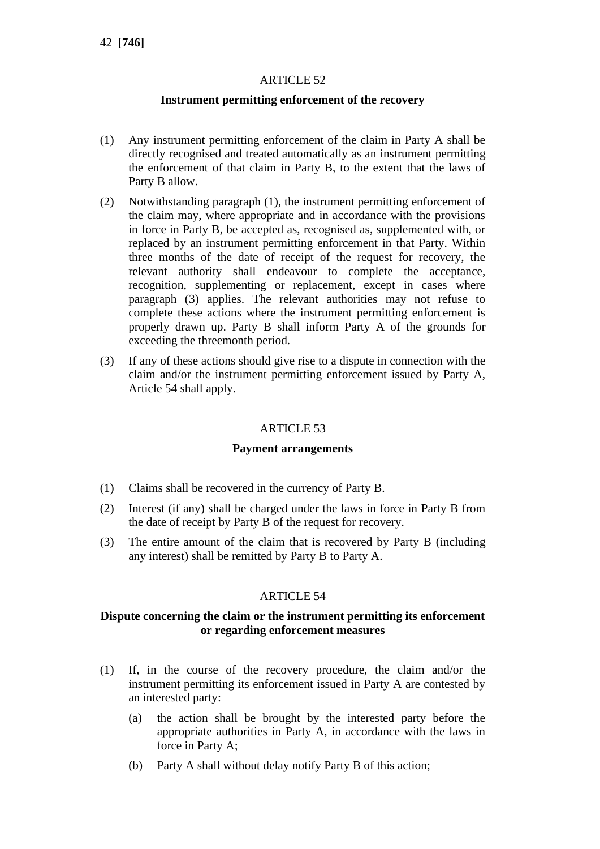## **Instrument permitting enforcement of the recovery**

- (1) Any instrument permitting enforcement of the claim in Party A shall be directly recognised and treated automatically as an instrument permitting the enforcement of that claim in Party B, to the extent that the laws of Party B allow.
- (2) Notwithstanding paragraph (1), the instrument permitting enforcement of the claim may, where appropriate and in accordance with the provisions in force in Party B, be accepted as, recognised as, supplemented with, or replaced by an instrument permitting enforcement in that Party. Within three months of the date of receipt of the request for recovery, the relevant authority shall endeavour to complete the acceptance, recognition, supplementing or replacement, except in cases where paragraph (3) applies. The relevant authorities may not refuse to complete these actions where the instrument permitting enforcement is properly drawn up. Party B shall inform Party A of the grounds for exceeding the threemonth period.
- (3) If any of these actions should give rise to a dispute in connection with the claim and/or the instrument permitting enforcement issued by Party A, Article 54 shall apply.

# ARTICLE 53

#### **Payment arrangements**

- (1) Claims shall be recovered in the currency of Party B.
- (2) Interest (if any) shall be charged under the laws in force in Party B from the date of receipt by Party B of the request for recovery.
- (3) The entire amount of the claim that is recovered by Party B (including any interest) shall be remitted by Party B to Party A.

# ARTICLE 54

# **Dispute concerning the claim or the instrument permitting its enforcement or regarding enforcement measures**

- (1) If, in the course of the recovery procedure, the claim and/or the instrument permitting its enforcement issued in Party A are contested by an interested party:
	- (a) the action shall be brought by the interested party before the appropriate authorities in Party A, in accordance with the laws in force in Party A;
	- (b) Party A shall without delay notify Party B of this action;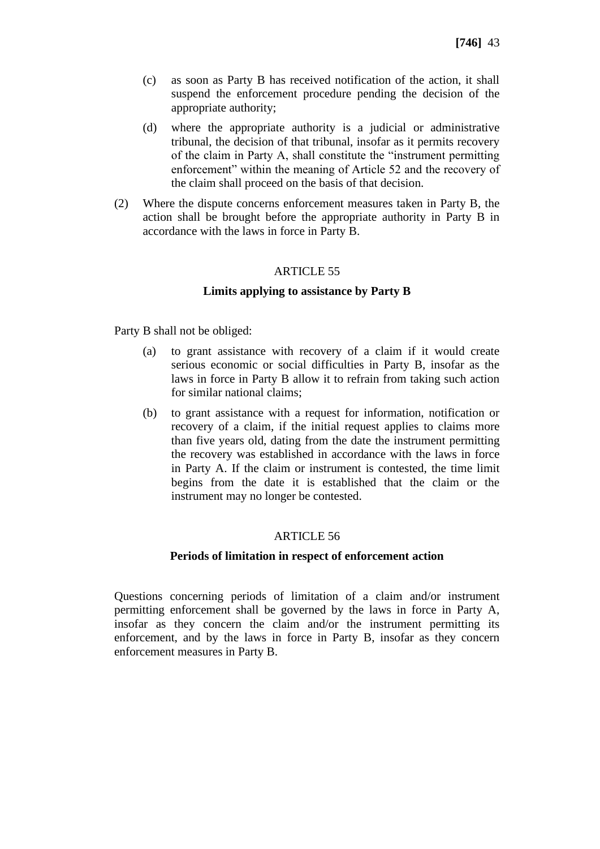- (c) as soon as Party B has received notification of the action, it shall suspend the enforcement procedure pending the decision of the appropriate authority;
- (d) where the appropriate authority is a judicial or administrative tribunal, the decision of that tribunal, insofar as it permits recovery of the claim in Party A, shall constitute the "instrument permitting enforcement" within the meaning of Article 52 and the recovery of the claim shall proceed on the basis of that decision.
- (2) Where the dispute concerns enforcement measures taken in Party B, the action shall be brought before the appropriate authority in Party B in accordance with the laws in force in Party B.

# **Limits applying to assistance by Party B**

Party B shall not be obliged:

- (a) to grant assistance with recovery of a claim if it would create serious economic or social difficulties in Party B, insofar as the laws in force in Party B allow it to refrain from taking such action for similar national claims;
- (b) to grant assistance with a request for information, notification or recovery of a claim, if the initial request applies to claims more than five years old, dating from the date the instrument permitting the recovery was established in accordance with the laws in force in Party A. If the claim or instrument is contested, the time limit begins from the date it is established that the claim or the instrument may no longer be contested.

# ARTICLE 56

# **Periods of limitation in respect of enforcement action**

Questions concerning periods of limitation of a claim and/or instrument permitting enforcement shall be governed by the laws in force in Party A, insofar as they concern the claim and/or the instrument permitting its enforcement, and by the laws in force in Party B, insofar as they concern enforcement measures in Party B.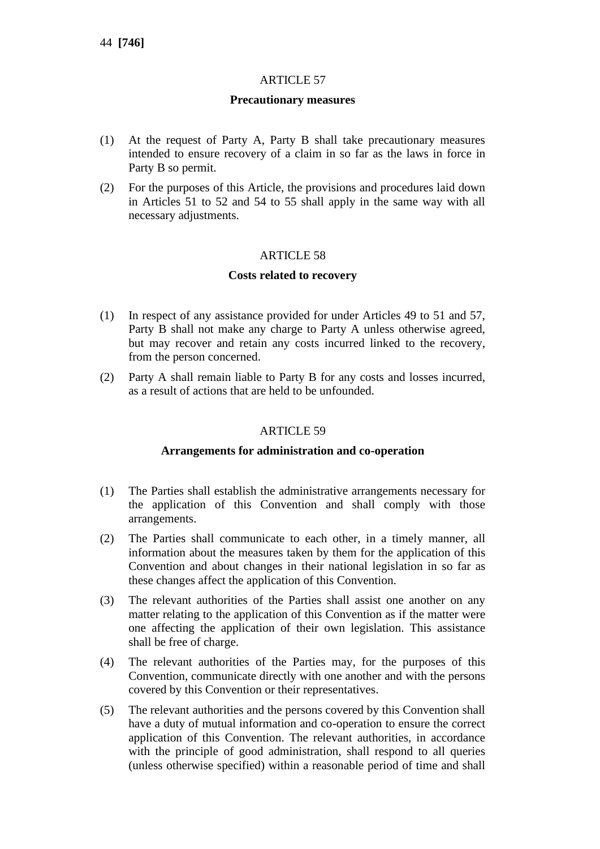#### **Precautionary measures**

- (1) At the request of Party A, Party B shall take precautionary measures intended to ensure recovery of a claim in so far as the laws in force in Party B so permit.
- (2) For the purposes of this Article, the provisions and procedures laid down in Articles 51 to 52 and 54 to 55 shall apply in the same way with all necessary adjustments.

# ARTICLE 58

# **Costs related to recovery**

- (1) In respect of any assistance provided for under Articles 49 to 51 and 57, Party B shall not make any charge to Party A unless otherwise agreed, but may recover and retain any costs incurred linked to the recovery, from the person concerned.
- (2) Party A shall remain liable to Party B for any costs and losses incurred, as a result of actions that are held to be unfounded.

# ARTICLE 59

# **Arrangements for administration and co-operation**

- (1) The Parties shall establish the administrative arrangements necessary for the application of this Convention and shall comply with those arrangements.
- (2) The Parties shall communicate to each other, in a timely manner, all information about the measures taken by them for the application of this Convention and about changes in their national legislation in so far as these changes affect the application of this Convention.
- (3) The relevant authorities of the Parties shall assist one another on any matter relating to the application of this Convention as if the matter were one affecting the application of their own legislation. This assistance shall be free of charge.
- (4) The relevant authorities of the Parties may, for the purposes of this Convention, communicate directly with one another and with the persons covered by this Convention or their representatives.
- (5) The relevant authorities and the persons covered by this Convention shall have a duty of mutual information and co-operation to ensure the correct application of this Convention. The relevant authorities, in accordance with the principle of good administration, shall respond to all queries (unless otherwise specified) within a reasonable period of time and shall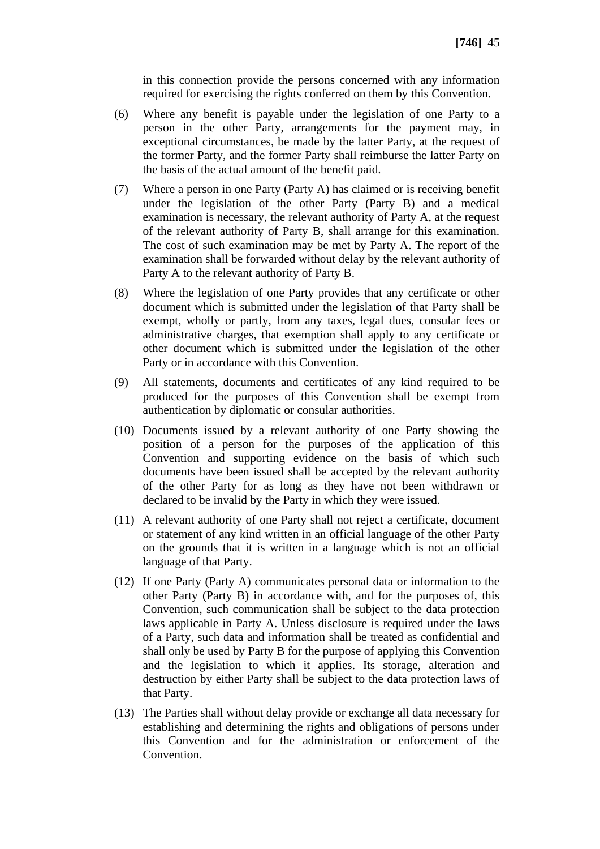in this connection provide the persons concerned with any information required for exercising the rights conferred on them by this Convention.

- (6) Where any benefit is payable under the legislation of one Party to a person in the other Party, arrangements for the payment may, in exceptional circumstances, be made by the latter Party, at the request of the former Party, and the former Party shall reimburse the latter Party on the basis of the actual amount of the benefit paid.
- (7) Where a person in one Party (Party A) has claimed or is receiving benefit under the legislation of the other Party (Party B) and a medical examination is necessary, the relevant authority of Party A, at the request of the relevant authority of Party B, shall arrange for this examination. The cost of such examination may be met by Party A. The report of the examination shall be forwarded without delay by the relevant authority of Party A to the relevant authority of Party B.
- (8) Where the legislation of one Party provides that any certificate or other document which is submitted under the legislation of that Party shall be exempt, wholly or partly, from any taxes, legal dues, consular fees or administrative charges, that exemption shall apply to any certificate or other document which is submitted under the legislation of the other Party or in accordance with this Convention.
- (9) All statements, documents and certificates of any kind required to be produced for the purposes of this Convention shall be exempt from authentication by diplomatic or consular authorities.
- (10) Documents issued by a relevant authority of one Party showing the position of a person for the purposes of the application of this Convention and supporting evidence on the basis of which such documents have been issued shall be accepted by the relevant authority of the other Party for as long as they have not been withdrawn or declared to be invalid by the Party in which they were issued.
- (11) A relevant authority of one Party shall not reject a certificate, document or statement of any kind written in an official language of the other Party on the grounds that it is written in a language which is not an official language of that Party.
- (12) If one Party (Party A) communicates personal data or information to the other Party (Party B) in accordance with, and for the purposes of, this Convention, such communication shall be subject to the data protection laws applicable in Party A. Unless disclosure is required under the laws of a Party, such data and information shall be treated as confidential and shall only be used by Party B for the purpose of applying this Convention and the legislation to which it applies. Its storage, alteration and destruction by either Party shall be subject to the data protection laws of that Party.
- (13) The Parties shall without delay provide or exchange all data necessary for establishing and determining the rights and obligations of persons under this Convention and for the administration or enforcement of the Convention.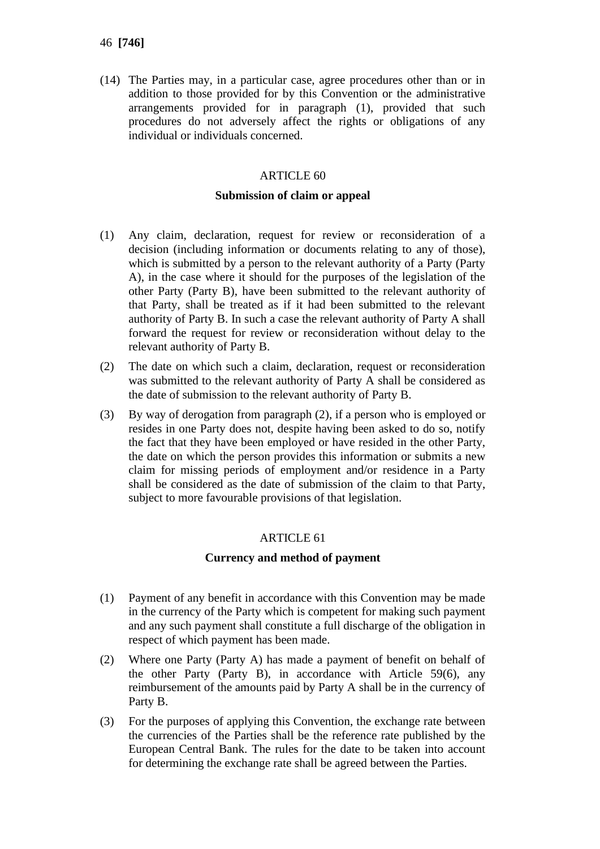# 46 **[746]**

(14) The Parties may, in a particular case, agree procedures other than or in addition to those provided for by this Convention or the administrative arrangements provided for in paragraph (1), provided that such procedures do not adversely affect the rights or obligations of any individual or individuals concerned.

## ARTICLE 60

#### **Submission of claim or appeal**

- (1) Any claim, declaration, request for review or reconsideration of a decision (including information or documents relating to any of those), which is submitted by a person to the relevant authority of a Party (Party A), in the case where it should for the purposes of the legislation of the other Party (Party B), have been submitted to the relevant authority of that Party, shall be treated as if it had been submitted to the relevant authority of Party B. In such a case the relevant authority of Party A shall forward the request for review or reconsideration without delay to the relevant authority of Party B.
- (2) The date on which such a claim, declaration, request or reconsideration was submitted to the relevant authority of Party A shall be considered as the date of submission to the relevant authority of Party B.
- (3) By way of derogation from paragraph (2), if a person who is employed or resides in one Party does not, despite having been asked to do so, notify the fact that they have been employed or have resided in the other Party, the date on which the person provides this information or submits a new claim for missing periods of employment and/or residence in a Party shall be considered as the date of submission of the claim to that Party, subject to more favourable provisions of that legislation.

# ARTICLE 61

# **Currency and method of payment**

- (1) Payment of any benefit in accordance with this Convention may be made in the currency of the Party which is competent for making such payment and any such payment shall constitute a full discharge of the obligation in respect of which payment has been made.
- (2) Where one Party (Party A) has made a payment of benefit on behalf of the other Party (Party B), in accordance with Article 59(6), any reimbursement of the amounts paid by Party A shall be in the currency of Party B.
- (3) For the purposes of applying this Convention, the exchange rate between the currencies of the Parties shall be the reference rate published by the European Central Bank. The rules for the date to be taken into account for determining the exchange rate shall be agreed between the Parties.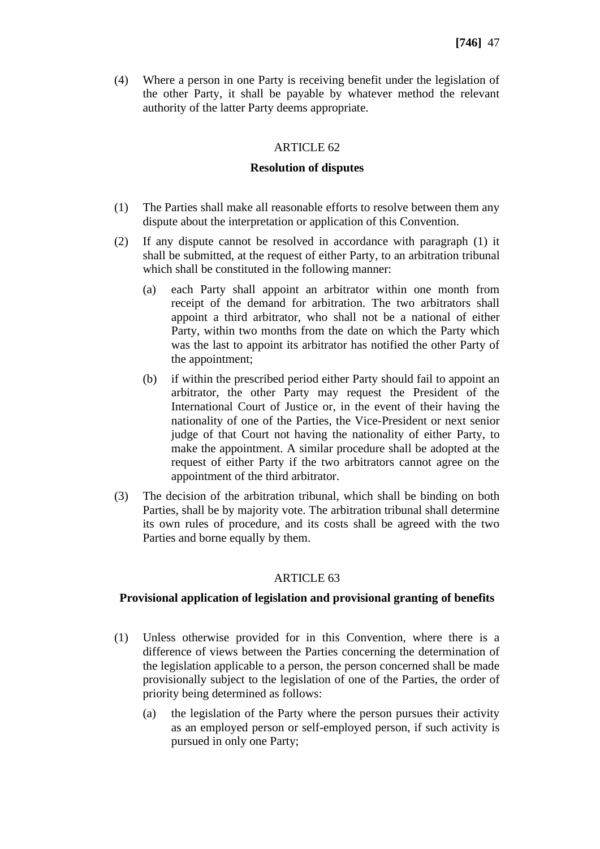(4) Where a person in one Party is receiving benefit under the legislation of the other Party, it shall be payable by whatever method the relevant authority of the latter Party deems appropriate.

#### ARTICLE 62

#### **Resolution of disputes**

- (1) The Parties shall make all reasonable efforts to resolve between them any dispute about the interpretation or application of this Convention.
- (2) If any dispute cannot be resolved in accordance with paragraph (1) it shall be submitted, at the request of either Party, to an arbitration tribunal which shall be constituted in the following manner:
	- (a) each Party shall appoint an arbitrator within one month from receipt of the demand for arbitration. The two arbitrators shall appoint a third arbitrator, who shall not be a national of either Party, within two months from the date on which the Party which was the last to appoint its arbitrator has notified the other Party of the appointment;
	- (b) if within the prescribed period either Party should fail to appoint an arbitrator, the other Party may request the President of the International Court of Justice or, in the event of their having the nationality of one of the Parties, the Vice-President or next senior judge of that Court not having the nationality of either Party, to make the appointment. A similar procedure shall be adopted at the request of either Party if the two arbitrators cannot agree on the appointment of the third arbitrator.
- (3) The decision of the arbitration tribunal, which shall be binding on both Parties, shall be by majority vote. The arbitration tribunal shall determine its own rules of procedure, and its costs shall be agreed with the two Parties and borne equally by them.

# ARTICLE 63

# **Provisional application of legislation and provisional granting of benefits**

- (1) Unless otherwise provided for in this Convention, where there is a difference of views between the Parties concerning the determination of the legislation applicable to a person, the person concerned shall be made provisionally subject to the legislation of one of the Parties, the order of priority being determined as follows:
	- (a) the legislation of the Party where the person pursues their activity as an employed person or self-employed person, if such activity is pursued in only one Party;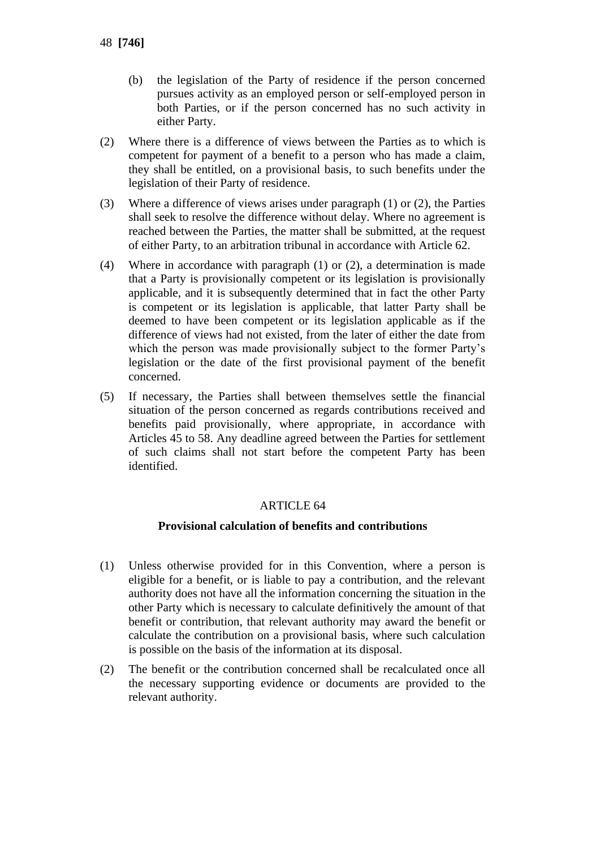- (b) the legislation of the Party of residence if the person concerned pursues activity as an employed person or self-employed person in both Parties, or if the person concerned has no such activity in either Party.
- (2) Where there is a difference of views between the Parties as to which is competent for payment of a benefit to a person who has made a claim, they shall be entitled, on a provisional basis, to such benefits under the legislation of their Party of residence.
- (3) Where a difference of views arises under paragraph (1) or (2), the Parties shall seek to resolve the difference without delay. Where no agreement is reached between the Parties, the matter shall be submitted, at the request of either Party, to an arbitration tribunal in accordance with Article 62.
- (4) Where in accordance with paragraph (1) or (2), a determination is made that a Party is provisionally competent or its legislation is provisionally applicable, and it is subsequently determined that in fact the other Party is competent or its legislation is applicable, that latter Party shall be deemed to have been competent or its legislation applicable as if the difference of views had not existed, from the later of either the date from which the person was made provisionally subject to the former Party's legislation or the date of the first provisional payment of the benefit concerned.
- (5) If necessary, the Parties shall between themselves settle the financial situation of the person concerned as regards contributions received and benefits paid provisionally, where appropriate, in accordance with Articles 45 to 58. Any deadline agreed between the Parties for settlement of such claims shall not start before the competent Party has been identified.

# **Provisional calculation of benefits and contributions**

- (1) Unless otherwise provided for in this Convention, where a person is eligible for a benefit, or is liable to pay a contribution, and the relevant authority does not have all the information concerning the situation in the other Party which is necessary to calculate definitively the amount of that benefit or contribution, that relevant authority may award the benefit or calculate the contribution on a provisional basis, where such calculation is possible on the basis of the information at its disposal.
- (2) The benefit or the contribution concerned shall be recalculated once all the necessary supporting evidence or documents are provided to the relevant authority.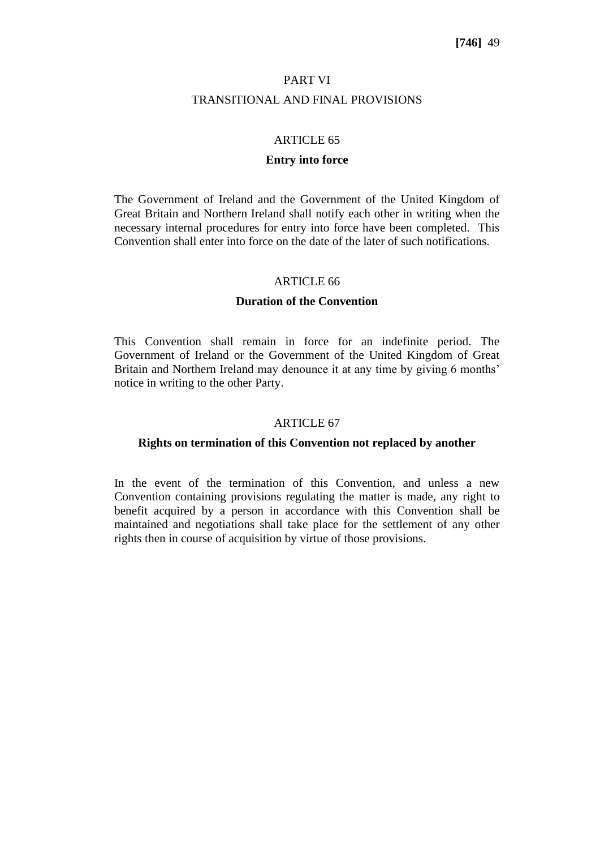# PART VI

# TRANSITIONAL AND FINAL PROVISIONS

# ARTICLE 65

#### **Entry into force**

The Government of Ireland and the Government of the United Kingdom of Great Britain and Northern Ireland shall notify each other in writing when the necessary internal procedures for entry into force have been completed. This Convention shall enter into force on the date of the later of such notifications.

#### ARTICLE 66

#### **Duration of the Convention**

This Convention shall remain in force for an indefinite period. The Government of Ireland or the Government of the United Kingdom of Great Britain and Northern Ireland may denounce it at any time by giving 6 months' notice in writing to the other Party.

#### ARTICLE 67

#### **Rights on termination of this Convention not replaced by another**

In the event of the termination of this Convention, and unless a new Convention containing provisions regulating the matter is made, any right to benefit acquired by a person in accordance with this Convention shall be maintained and negotiations shall take place for the settlement of any other rights then in course of acquisition by virtue of those provisions.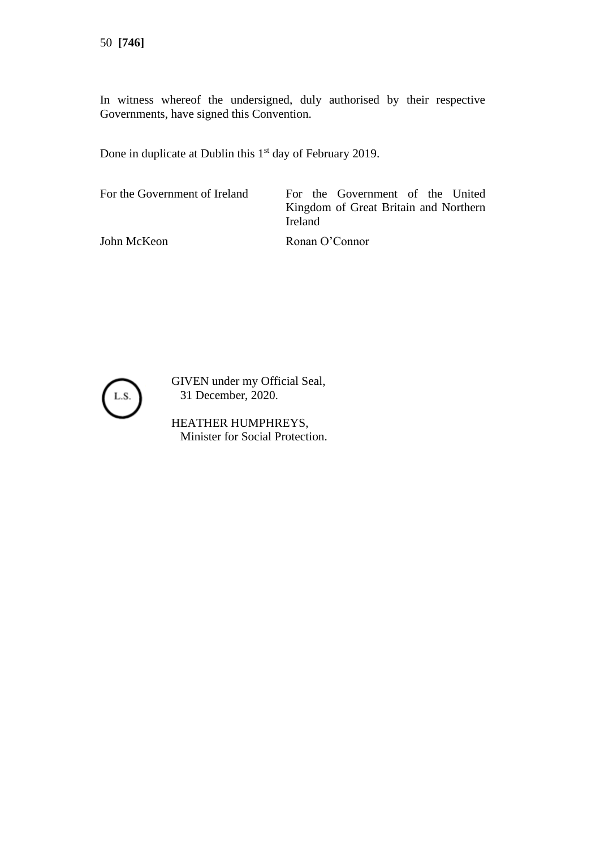50 **[746]**

In witness whereof the undersigned, duly authorised by their respective Governments, have signed this Convention.

Done in duplicate at Dublin this 1<sup>st</sup> day of February 2019.

For the Government of Ireland For the Government of the United

John McKeon Ronan O'Connor

Kingdom of Great Britain and Northern Ireland



GIVEN under my Official Seal, 31 December, 2020.

HEATHER HUMPHREYS, Minister for Social Protection.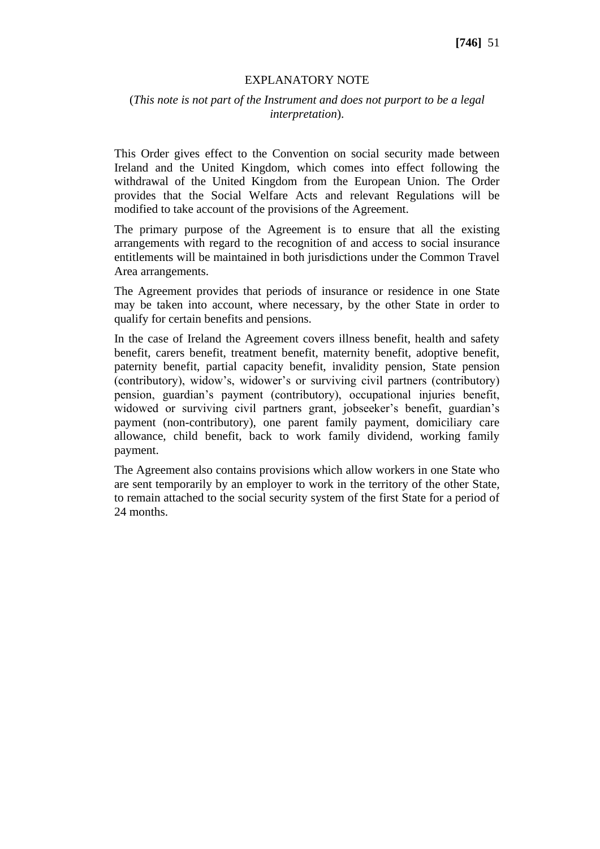#### EXPLANATORY NOTE

# (*This note is not part of the Instrument and does not purport to be a legal interpretation*).

This Order gives effect to the Convention on social security made between Ireland and the United Kingdom, which comes into effect following the withdrawal of the United Kingdom from the European Union. The Order provides that the Social Welfare Acts and relevant Regulations will be modified to take account of the provisions of the Agreement.

The primary purpose of the Agreement is to ensure that all the existing arrangements with regard to the recognition of and access to social insurance entitlements will be maintained in both jurisdictions under the Common Travel Area arrangements.

The Agreement provides that periods of insurance or residence in one State may be taken into account, where necessary, by the other State in order to qualify for certain benefits and pensions.

In the case of Ireland the Agreement covers illness benefit, health and safety benefit, carers benefit, treatment benefit, maternity benefit, adoptive benefit, paternity benefit, partial capacity benefit, invalidity pension, State pension (contributory), widow's, widower's or surviving civil partners (contributory) pension, guardian's payment (contributory), occupational injuries benefit, widowed or surviving civil partners grant, jobseeker's benefit, guardian's payment (non-contributory), one parent family payment, domiciliary care allowance, child benefit, back to work family dividend, working family payment.

The Agreement also contains provisions which allow workers in one State who are sent temporarily by an employer to work in the territory of the other State, to remain attached to the social security system of the first State for a period of 24 months.